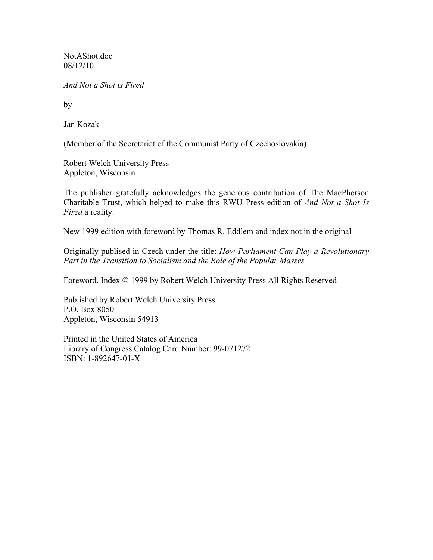NotAShot.doc 08/12/10

*And Not a Shot is Fired*

by

Jan Kozak

(Member of the Secretariat of the Communist Party of Czechoslovakia)

Robert Welch University Press Appleton, Wisconsin

The publisher gratefully acknowledges the generous contribution of The MacPherson Charitable Trust, which helped to make this RWU Press edition of *And Not a Shot Is Fired* a reality.

New 1999 edition with foreword by Thomas R. Eddlem and index not in the original

Originally publised in Czech under the title: *How Parliament Can Play a Revolutionary Part in the Transition to Socialism and the Role of the Popular Masses*

Foreword, Index © 1999 by Robert Welch University Press All Rights Reserved

Published by Robert Welch University Press P.O. Box 8050 Appleton, Wisconsin 54913

Printed in the United States of America Library of Congress Catalog Card Number: 99-071272 ISBN: 1-892647-01-X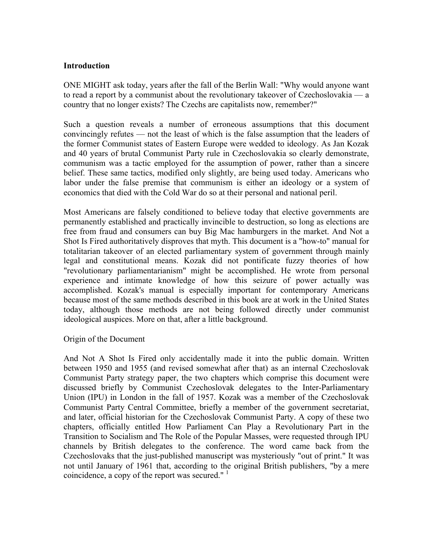### **Introduction**

ONE MIGHT ask today, years after the fall of the Berlin Wall: "Why would anyone want to read a report by a communist about the revolutionary takeover of Czechoslovakia — a country that no longer exists? The Czechs are capitalists now, remember?"

Such a question reveals a number of erroneous assumptions that this document convincingly refutes — not the least of which is the false assumption that the leaders of the former Communist states of Eastern Europe were wedded to ideology. As Jan Kozak and 40 years of brutal Communist Party rule in Czechoslovakia so clearly demonstrate, communism was a tactic employed for the assumption of power, rather than a sincere belief. These same tactics, modified only slightly, are being used today. Americans who labor under the false premise that communism is either an ideology or a system of economics that died with the Cold War do so at their personal and national peril.

Most Americans are falsely conditioned to believe today that elective governments are permanently established and practically invincible to destruction, so long as elections are free from fraud and consumers can buy Big Mac hamburgers in the market. And Not a Shot Is Fired authoritatively disproves that myth. This document is a "how-to" manual for totalitarian takeover of an elected parliamentary system of government through mainly legal and constitutional means. Kozak did not pontificate fuzzy theories of how "revolutionary parliamentarianism" might be accomplished. He wrote from personal experience and intimate knowledge of how this seizure of power actually was accomplished. Kozak's manual is especially important for contemporary Americans because most of the same methods described in this book are at work in the United States today, although those methods are not being followed directly under communist ideological auspices. More on that, after a little background.

### Origin of the Document

And Not A Shot Is Fired only accidentally made it into the public domain. Written between 1950 and 1955 (and revised somewhat after that) as an internal Czechoslovak Communist Party strategy paper, the two chapters which comprise this document were discussed briefly by Communist Czechoslovak delegates to the Inter-Parliamentary Union (IPU) in London in the fall of 1957. Kozak was a member of the Czechoslovak Communist Party Central Committee, briefly a member of the government secretariat, and later, official historian for the Czechoslovak Communist Party. A copy of these two chapters, officially entitled How Parliament Can Play a Revolutionary Part in the Transition to Socialism and The Role of the Popular Masses, were requested through IPU channels by British delegates to the conference. The word came back from the Czechoslovaks that the just-published manuscript was mysteriously "out of print." It was not until January of 1961 that, according to the original British publishers, "by a mere coincidence, a copy of the report was secured."  $\frac{1}{1}$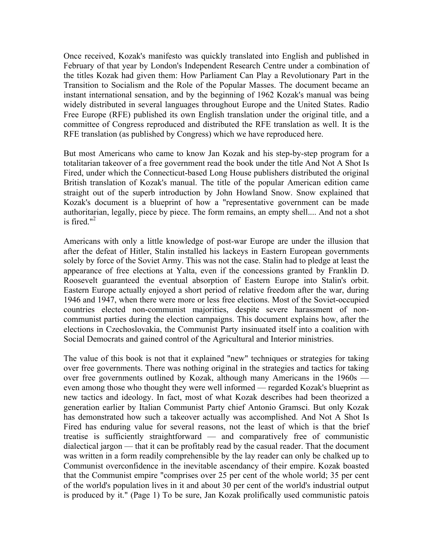Once received, Kozak's manifesto was quickly translated into English and published in February of that year by London's Independent Research Centre under a combination of the titles Kozak had given them: How Parliament Can Play a Revolutionary Part in the Transition to Socialism and the Role of the Popular Masses. The document became an instant international sensation, and by the beginning of 1962 Kozak's manual was being widely distributed in several languages throughout Europe and the United States. Radio Free Europe (RFE) published its own English translation under the original title, and a committee of Congress reproduced and distributed the RFE translation as well. It is the RFE translation (as published by Congress) which we have reproduced here.

But most Americans who came to know Jan Kozak and his step-by-step program for a totalitarian takeover of a free government read the book under the title And Not A Shot Is Fired, under which the Connecticut-based Long House publishers distributed the original British translation of Kozak's manual. The title of the popular American edition came straight out of the superb introduction by John Howland Snow. Snow explained that Kozak's document is a blueprint of how a "representative government can be made authoritarian, legally, piece by piece. The form remains, an empty shell.... And not a shot is fired. $12$ 

Americans with only a little knowledge of post-war Europe are under the illusion that after the defeat of Hitler, Stalin installed his lackeys in Eastern European governments solely by force of the Soviet Army. This was not the case. Stalin had to pledge at least the appearance of free elections at Yalta, even if the concessions granted by Franklin D. Roosevelt guaranteed the eventual absorption of Eastern Europe into Stalin's orbit. Eastern Europe actually enjoyed a short period of relative freedom after the war, during 1946 and 1947, when there were more or less free elections. Most of the Soviet-occupied countries elected non-communist majorities, despite severe harassment of noncommunist parties during the election campaigns. This document explains how, after the elections in Czechoslovakia, the Communist Party insinuated itself into a coalition with Social Democrats and gained control of the Agricultural and Interior ministries.

The value of this book is not that it explained "new" techniques or strategies for taking over free governments. There was nothing original in the strategies and tactics for taking over free governments outlined by Kozak, although many Americans in the 1960s even among those who thought they were well informed — regarded Kozak's blueprint as new tactics and ideology. In fact, most of what Kozak describes had been theorized a generation earlier by Italian Communist Party chief Antonio Gramsci. But only Kozak has demonstrated how such a takeover actually was accomplished. And Not A Shot Is Fired has enduring value for several reasons, not the least of which is that the brief treatise is sufficiently straightforward — and comparatively free of communistic dialectical jargon — that it can be profitably read by the casual reader. That the document was written in a form readily comprehensible by the lay reader can only be chalked up to Communist overconfidence in the inevitable ascendancy of their empire. Kozak boasted that the Communist empire "comprises over 25 per cent of the whole world; 35 per cent of the world's population lives in it and about 30 per cent of the world's industrial output is produced by it." (Page 1) To be sure, Jan Kozak prolifically used communistic patois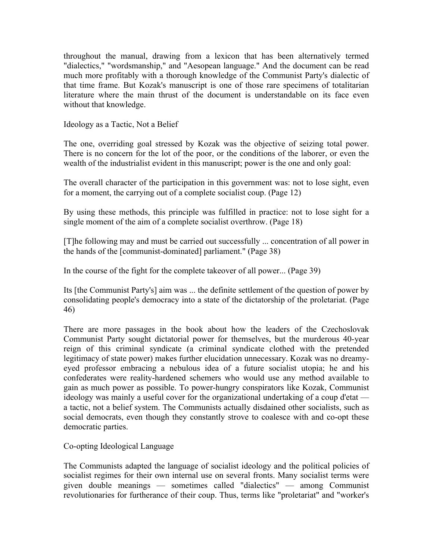throughout the manual, drawing from a lexicon that has been alternatively termed "dialectics," "wordsmanship," and "Aesopean language." And the document can be read much more profitably with a thorough knowledge of the Communist Party's dialectic of that time frame. But Kozak's manuscript is one of those rare specimens of totalitarian literature where the main thrust of the document is understandable on its face even without that knowledge.

Ideology as a Tactic, Not a Belief

The one, overriding goal stressed by Kozak was the objective of seizing total power. There is no concern for the lot of the poor, or the conditions of the laborer, or even the wealth of the industrialist evident in this manuscript; power is the one and only goal:

The overall character of the participation in this government was: not to lose sight, even for a moment, the carrying out of a complete socialist coup. (Page 12)

By using these methods, this principle was fulfilled in practice: not to lose sight for a single moment of the aim of a complete socialist overthrow. (Page 18)

[T]he following may and must be carried out successfully ... concentration of all power in the hands of the [communist-dominated] parliament." (Page 38)

In the course of the fight for the complete takeover of all power... (Page 39)

Its [the Communist Party's] aim was ... the definite settlement of the question of power by consolidating people's democracy into a state of the dictatorship of the proletariat. (Page 46)

There are more passages in the book about how the leaders of the Czechoslovak Communist Party sought dictatorial power for themselves, but the murderous 40-year reign of this criminal syndicate (a criminal syndicate clothed with the pretended legitimacy of state power) makes further elucidation unnecessary. Kozak was no dreamyeyed professor embracing a nebulous idea of a future socialist utopia; he and his confederates were reality-hardened schemers who would use any method available to gain as much power as possible. To power-hungry conspirators like Kozak, Communist ideology was mainly a useful cover for the organizational undertaking of a coup d'etat a tactic, not a belief system. The Communists actually disdained other socialists, such as social democrats, even though they constantly strove to coalesce with and co-opt these democratic parties.

Co-opting Ideological Language

The Communists adapted the language of socialist ideology and the political policies of socialist regimes for their own internal use on several fronts. Many socialist terms were given double meanings — sometimes called "dialectics" — among Communist revolutionaries for furtherance of their coup. Thus, terms like "proletariat" and "worker's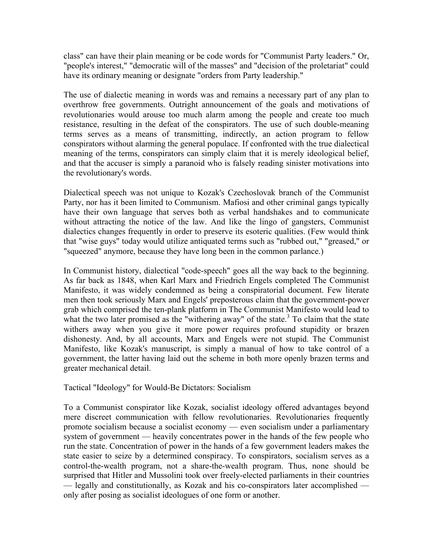class" can have their plain meaning or be code words for "Communist Party leaders." Or, "people's interest," "democratic will of the masses" and "decision of the proletariat" could have its ordinary meaning or designate "orders from Party leadership."

The use of dialectic meaning in words was and remains a necessary part of any plan to overthrow free governments. Outright announcement of the goals and motivations of revolutionaries would arouse too much alarm among the people and create too much resistance, resulting in the defeat of the conspirators. The use of such double-meaning terms serves as a means of transmitting, indirectly, an action program to fellow conspirators without alarming the general populace. If confronted with the true dialectical meaning of the terms, conspirators can simply claim that it is merely ideological belief, and that the accuser is simply a paranoid who is falsely reading sinister motivations into the revolutionary's words.

Dialectical speech was not unique to Kozak's Czechoslovak branch of the Communist Party, nor has it been limited to Communism. Mafiosi and other criminal gangs typically have their own language that serves both as verbal handshakes and to communicate without attracting the notice of the law. And like the lingo of gangsters, Communist dialectics changes frequently in order to preserve its esoteric qualities. (Few would think that "wise guys" today would utilize antiquated terms such as "rubbed out," "greased," or "squeezed" anymore, because they have long been in the common parlance.)

In Communist history, dialectical "code-speech" goes all the way back to the beginning. As far back as 1848, when Karl Marx and Friedrich Engels completed The Communist Manifesto, it was widely condemned as being a conspiratorial document. Few literate men then took seriously Marx and Engels' preposterous claim that the government-power grab which comprised the ten-plank platform in The Communist Manifesto would lead to what the two later promised as the "withering away" of the state. $3$  To claim that the state withers away when you give it more power requires profound stupidity or brazen dishonesty. And, by all accounts, Marx and Engels were not stupid. The Communist Manifesto, like Kozak's manuscript, is simply a manual of how to take control of a government, the latter having laid out the scheme in both more openly brazen terms and greater mechanical detail.

Tactical "Ideology" for Would-Be Dictators: Socialism

To a Communist conspirator like Kozak, socialist ideology offered advantages beyond mere discreet communication with fellow revolutionaries. Revolutionaries frequently promote socialism because a socialist economy — even socialism under a parliamentary system of government — heavily concentrates power in the hands of the few people who run the state. Concentration of power in the hands of a few government leaders makes the state easier to seize by a determined conspiracy. To conspirators, socialism serves as a control-the-wealth program, not a share-the-wealth program. Thus, none should be surprised that Hitler and Mussolini took over freely-elected parliaments in their countries — legally and constitutionally, as Kozak and his co-conspirators later accomplished only after posing as socialist ideologues of one form or another.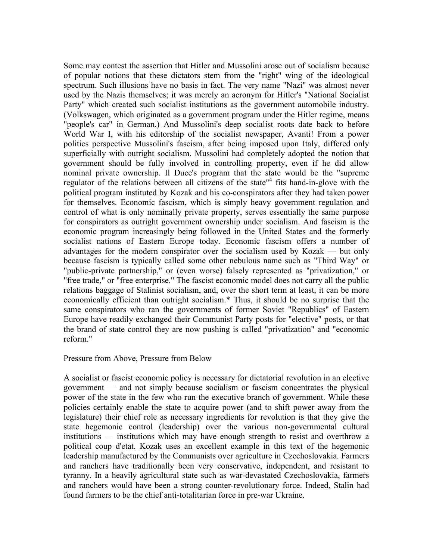Some may contest the assertion that Hitler and Mussolini arose out of socialism because of popular notions that these dictators stem from the "right" wing of the ideological spectrum. Such illusions have no basis in fact. The very name "Nazi" was almost never used by the Nazis themselves; it was merely an acronym for Hitler's "National Socialist Party" which created such socialist institutions as the government automobile industry. (Volkswagen, which originated as a government program under the Hitler regime, means "people's car" in German.) And Mussolini's deep socialist roots date back to before World War I, with his editorship of the socialist newspaper, Avanti! From a power politics perspective Mussolini's fascism, after being imposed upon Italy, differed only superficially with outright socialism. Mussolini had completely adopted the notion that government should be fully involved in controlling property, even if he did allow nominal private ownership. Il Duce's program that the state would be the "supreme regulator of the relations between all citizens of the state" $4$  fits hand-in-glove with the political program instituted by Kozak and his co-conspirators after they had taken power for themselves. Economic fascism, which is simply heavy government regulation and control of what is only nominally private property, serves essentially the same purpose for conspirators as outright government ownership under socialism. And fascism is the economic program increasingly being followed in the United States and the formerly socialist nations of Eastern Europe today. Economic fascism offers a number of advantages for the modern conspirator over the socialism used by Kozak — but only because fascism is typically called some other nebulous name such as "Third Way" or "public-private partnership," or (even worse) falsely represented as "privatization," or "free trade," or "free enterprise." The fascist economic model does not carry all the public relations baggage of Stalinist socialism, and, over the short term at least, it can be more economically efficient than outright socialism.\* Thus, it should be no surprise that the same conspirators who ran the governments of former Soviet "Republics" of Eastern Europe have readily exchanged their Communist Party posts for "elective" posts, or that the brand of state control they are now pushing is called "privatization" and "economic reform."

### Pressure from Above, Pressure from Below

A socialist or fascist economic policy is necessary for dictatorial revolution in an elective government — and not simply because socialism or fascism concentrates the physical power of the state in the few who run the executive branch of government. While these policies certainly enable the state to acquire power (and to shift power away from the legislature) their chief role as necessary ingredients for revolution is that they give the state hegemonic control (leadership) over the various non-governmental cultural institutions — institutions which may have enough strength to resist and overthrow a political coup d'etat. Kozak uses an excellent example in this text of the hegemonic leadership manufactured by the Communists over agriculture in Czechoslovakia. Farmers and ranchers have traditionally been very conservative, independent, and resistant to tyranny. In a heavily agricultural state such as war-devastated Czechoslovakia, farmers and ranchers would have been a strong counter-revolutionary force. Indeed, Stalin had found farmers to be the chief anti-totalitarian force in pre-war Ukraine.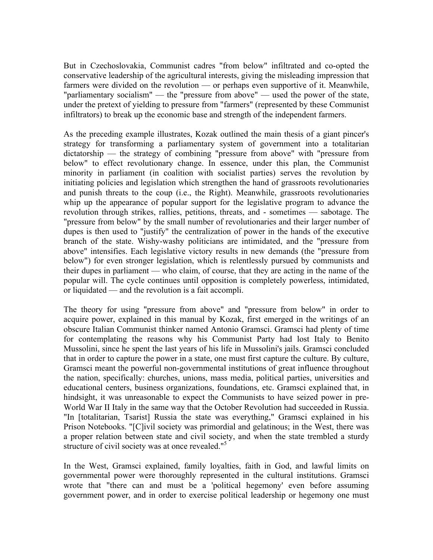But in Czechoslovakia, Communist cadres "from below" infiltrated and co-opted the conservative leadership of the agricultural interests, giving the misleading impression that farmers were divided on the revolution — or perhaps even supportive of it. Meanwhile, "parliamentary socialism" — the "pressure from above" — used the power of the state, under the pretext of yielding to pressure from "farmers" (represented by these Communist infiltrators) to break up the economic base and strength of the independent farmers.

As the preceding example illustrates, Kozak outlined the main thesis of a giant pincer's strategy for transforming a parliamentary system of government into a totalitarian dictatorship — the strategy of combining "pressure from above" with "pressure from below" to effect revolutionary change. In essence, under this plan, the Communist minority in parliament (in coalition with socialist parties) serves the revolution by initiating policies and legislation which strengthen the hand of grassroots revolutionaries and punish threats to the coup (i.e., the Right). Meanwhile, grassroots revolutionaries whip up the appearance of popular support for the legislative program to advance the revolution through strikes, rallies, petitions, threats, and - sometimes — sabotage. The "pressure from below" by the small number of revolutionaries and their larger number of dupes is then used to "justify" the centralization of power in the hands of the executive branch of the state. Wishy-washy politicians are intimidated, and the "pressure from above" intensifies. Each legislative victory results in new demands (the "pressure from below") for even stronger legislation, which is relentlessly pursued by communists and their dupes in parliament — who claim, of course, that they are acting in the name of the popular will. The cycle continues until opposition is completely powerless, intimidated, or liquidated — and the revolution is a fait accompli.

The theory for using "pressure from above" and "pressure from below" in order to acquire power, explained in this manual by Kozak, first emerged in the writings of an obscure Italian Communist thinker named Antonio Gramsci. Gramsci had plenty of time for contemplating the reasons why his Communist Party had lost Italy to Benito Mussolini, since he spent the last years of his life in Mussolini's jails. Gramsci concluded that in order to capture the power in a state, one must first capture the culture. By culture, Gramsci meant the powerful non-governmental institutions of great influence throughout the nation, specifically: churches, unions, mass media, political parties, universities and educational centers, business organizations, foundations, etc. Gramsci explained that, in hindsight, it was unreasonable to expect the Communists to have seized power in pre-World War II Italy in the same way that the October Revolution had succeeded in Russia. "In [totalitarian, Tsarist] Russia the state was everything," Gramsci explained in his Prison Notebooks. "[C]ivil society was primordial and gelatinous; in the West, there was a proper relation between state and civil society, and when the state trembled a sturdy structure of civil society was at once revealed."<sup>5</sup>

In the West, Gramsci explained, family loyalties, faith in God, and lawful limits on governmental power were thoroughly represented in the cultural institutions. Gramsci wrote that "there can and must be a 'political hegemony' even before assuming government power, and in order to exercise political leadership or hegemony one must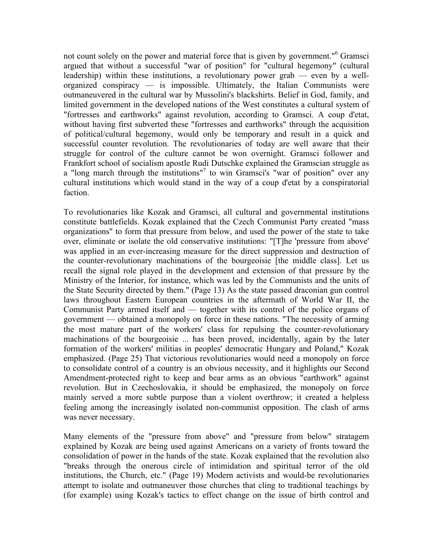not count solely on the power and material force that is given by government."<sup>6</sup> Gramsci argued that without a successful "war of position" for "cultural hegemony" (cultural leadership) within these institutions, a revolutionary power grab — even by a wellorganized conspiracy — is impossible. Ultimately, the Italian Communists were outmaneuvered in the cultural war by Mussolini's blackshirts. Belief in God, family, and limited government in the developed nations of the West constitutes a cultural system of "fortresses and earthworks" against revolution, according to Gramsci. A coup d'etat, without having first subverted these "fortresses and earthworks" through the acquisition of political/cultural hegemony, would only be temporary and result in a quick and successful counter revolution. The revolutionaries of today are well aware that their struggle for control of the culture cannot be won overnight. Gramsci follower and Frankfort school of socialism apostle Rudi Dutschke explained the Gramscian struggle as a "long march through the institutions"<sup>7</sup> to win Gramsci's "war of position" over any cultural institutions which would stand in the way of a coup d'etat by a conspiratorial faction.

To revolutionaries like Kozak and Gramsci, all cultural and governmental institutions constitute battlefields. Kozak explained that the Czech Communist Party created "mass organizations" to form that pressure from below, and used the power of the state to take over, eliminate or isolate the old conservative institutions: "[T]he 'pressure from above' was applied in an ever-increasing measure for the direct suppression and destruction of the counter-revolutionary machinations of the bourgeoisie [the middle class]. Let us recall the signal role played in the development and extension of that pressure by the Ministry of the Interior, for instance, which was led by the Communists and the units of the State Security directed by them." (Page 13) As the state passed draconian gun control laws throughout Eastern European countries in the aftermath of World War II, the Communist Party armed itself and — together with its control of the police organs of government — obtained a monopoly on force in these nations. "The necessity of arming the most mature part of the workers' class for repulsing the counter-revolutionary machinations of the bourgeoisie ... has been proved, incidentally, again by the later formation of the workers' militias in peoples' democratic Hungary and Poland," Kozak emphasized. (Page 25) That victorious revolutionaries would need a monopoly on force to consolidate control of a country is an obvious necessity, and it highlights our Second Amendment-protected right to keep and bear arms as an obvious "earthwork" against revolution. But in Czechoslovakia, it should be emphasized, the monopoly on force mainly served a more subtle purpose than a violent overthrow; it created a helpless feeling among the increasingly isolated non-communist opposition. The clash of arms was never necessary.

Many elements of the "pressure from above" and "pressure from below" stratagem explained by Kozak are being used against Americans on a variety of fronts toward the consolidation of power in the hands of the state. Kozak explained that the revolution also "breaks through the onerous circle of intimidation and spiritual terror of the old institutions, the Church, etc." (Page 19) Modern activists and would-be revolutionaries attempt to isolate and outmaneuver those churches that cling to traditional teachings by (for example) using Kozak's tactics to effect change on the issue of birth control and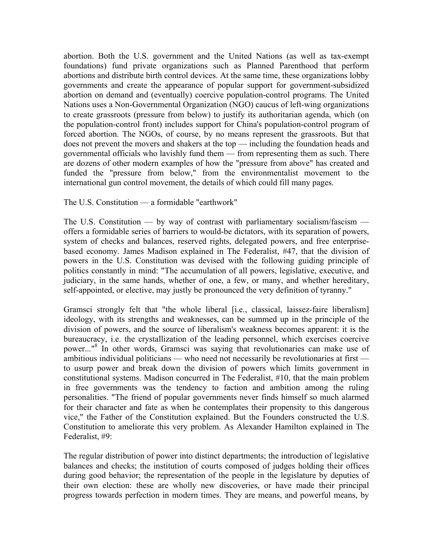abortion. Both the U.S. government and the United Nations (as well as tax-exempt foundations) fund private organizations such as Planned Parenthood that perform abortions and distribute birth control devices. At the same time, these organizations lobby governments and create the appearance of popular support for government-subsidized abortion on demand and (eventually) coercive population-control programs. The United Nations uses a Non-Governmental Organization (NGO) caucus of left-wing organizations to create grassroots (pressure from below) to justify its authoritarian agenda, which (on the population-control front) includes support for China's population-control program of forced abortion. The NGOs, of course, by no means represent the grassroots. But that does not prevent the movers and shakers at the top — including the foundation heads and governmental officials who lavishly fund them — from representing them as such. There are dozens of other modern examples of how the "pressure from above" has created and funded the "pressure from below," from the environmentalist movement to the international gun control movement, the details of which could fill many pages.

The U.S. Constitution — a formidable "earthwork"

The U.S. Constitution — by way of contrast with parliamentary socialism/fascism offers a formidable series of barriers to would-be dictators, with its separation of powers, system of checks and balances, reserved rights, delegated powers, and free enterprisebased economy. James Madison explained in The Federalist, #47, that the division of powers in the U.S. Constitution was devised with the following guiding principle of politics constantly in mind: "The accumulation of all powers, legislative, executive, and judiciary, in the same hands, whether of one, a few, or many, and whether hereditary, self-appointed, or elective, may justly be pronounced the very definition of tyranny."

Gramsci strongly felt that "the whole liberal [i.e., classical, laissez-faire liberalism] ideology, with its strengths and weaknesses, can be summed up in the principle of the division of powers, and the source of liberalism's weakness becomes apparent: it is the bureaucracy, i.e. the crystallization of the leading personnel, which exercises coercive power..."<sup>8</sup> In other words, Gramsci was saying that revolutionaries can make use of ambitious individual politicians — who need not necessarily be revolutionaries at first to usurp power and break down the division of powers which limits government in constitutional systems. Madison concurred in The Federalist, #10, that the main problem in free governments was the tendency to faction and ambition among the ruling personalities. "The friend of popular governments never finds himself so much alarmed for their character and fate as when he contemplates their propensity to this dangerous vice," the Father of the Constitution explained. But the Founders constructed the U.S. Constitution to ameliorate this very problem. As Alexander Hamilton explained in The Federalist, #9:

The regular distribution of power into distinct departments; the introduction of legislative balances and checks; the institution of courts composed of judges holding their offices during good behavior; the representation of the people in the legislature by deputies of their own election: these are wholly new discoveries, or have made their principal progress towards perfection in modern times. They are means, and powerful means, by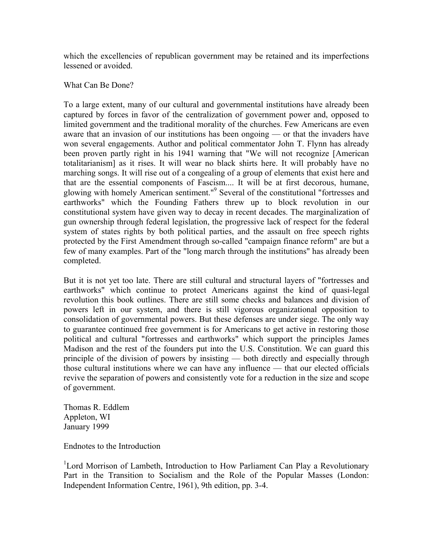which the excellencies of republican government may be retained and its imperfections lessened or avoided.

#### What Can Be Done?

To a large extent, many of our cultural and governmental institutions have already been captured by forces in favor of the centralization of government power and, opposed to limited government and the traditional morality of the churches. Few Americans are even aware that an invasion of our institutions has been ongoing — or that the invaders have won several engagements. Author and political commentator John T. Flynn has already been proven partly right in his 1941 warning that "We will not recognize [American totalitarianism] as it rises. It will wear no black shirts here. It will probably have no marching songs. It will rise out of a congealing of a group of elements that exist here and that are the essential components of Fascism.... It will be at first decorous, humane, glowing with homely American sentiment."<sup>9</sup> Several of the constitutional "fortresses and earthworks" which the Founding Fathers threw up to block revolution in our constitutional system have given way to decay in recent decades. The marginalization of gun ownership through federal legislation, the progressive lack of respect for the federal system of states rights by both political parties, and the assault on free speech rights protected by the First Amendment through so-called "campaign finance reform" are but a few of many examples. Part of the "long march through the institutions" has already been completed.

But it is not yet too late. There are still cultural and structural layers of "fortresses and earthworks" which continue to protect Americans against the kind of quasi-legal revolution this book outlines. There are still some checks and balances and division of powers left in our system, and there is still vigorous organizational opposition to consolidation of governmental powers. But these defenses are under siege. The only way to guarantee continued free government is for Americans to get active in restoring those political and cultural "fortresses and earthworks" which support the principles James Madison and the rest of the founders put into the U.S. Constitution. We can guard this principle of the division of powers by insisting — both directly and especially through those cultural institutions where we can have any influence — that our elected officials revive the separation of powers and consistently vote for a reduction in the size and scope of government.

Thomas R. Eddlem Appleton, WI January 1999

Endnotes to the Introduction

<sup>1</sup>Lord Morrison of Lambeth, Introduction to How Parliament Can Play a Revolutionary Part in the Transition to Socialism and the Role of the Popular Masses (London: Independent Information Centre, 1961), 9th edition, pp. 3-4.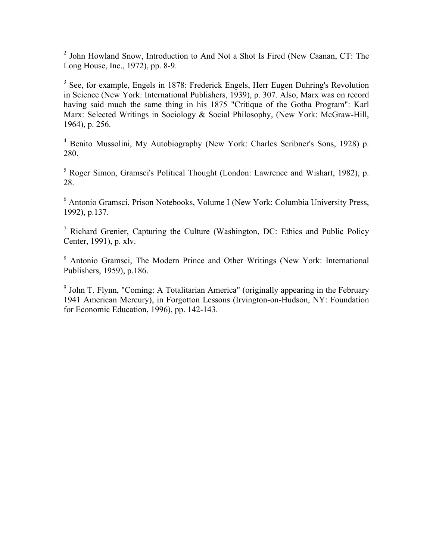<sup>2</sup> John Howland Snow, Introduction to And Not a Shot Is Fired (New Caanan, CT: The Long House, Inc., 1972), pp. 8-9.

<sup>3</sup> See, for example, Engels in 1878: Frederick Engels, Herr Eugen Duhring's Revolution in Science (New York: International Publishers, 1939), p. 307. Also, Marx was on record having said much the same thing in his 1875 "Critique of the Gotha Program": Karl Marx: Selected Writings in Sociology & Social Philosophy, (New York: McGraw-Hill, 1964), p. 256.

4 Benito Mussolini, My Autobiography (New York: Charles Scribner's Sons, 1928) p. 280.

<sup>5</sup> Roger Simon, Gramsci's Political Thought (London: Lawrence and Wishart, 1982), p. 28.

6 Antonio Gramsci, Prison Notebooks, Volume I (New York: Columbia University Press, 1992), p.137.

<sup>7</sup> Richard Grenier, Capturing the Culture (Washington, DC: Ethics and Public Policy Center, 1991), p. xlv.

<sup>8</sup> Antonio Gramsci, The Modern Prince and Other Writings (New York: International Publishers, 1959), p.186.

<sup>9</sup> John T. Flynn, "Coming: A Totalitarian America" (originally appearing in the February 1941 American Mercury), in Forgotton Lessons (Irvington-on-Hudson, NY: Foundation for Economic Education, 1996), pp. 142-143.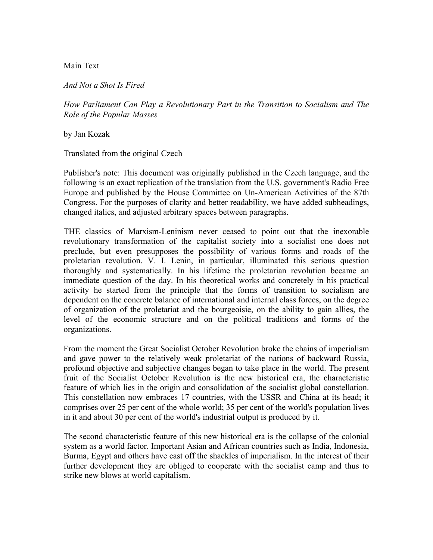Main Text

*And Not a Shot Is Fired*

*How Parliament Can Play a Revolutionary Part in the Transition to Socialism and The Role of the Popular Masses*

by Jan Kozak

Translated from the original Czech

Publisher's note: This document was originally published in the Czech language, and the following is an exact replication of the translation from the U.S. government's Radio Free Europe and published by the House Committee on Un-American Activities of the 87th Congress. For the purposes of clarity and better readability, we have added subheadings, changed italics, and adjusted arbitrary spaces between paragraphs.

THE classics of Marxism-Leninism never ceased to point out that the inexorable revolutionary transformation of the capitalist society into a socialist one does not preclude, but even presupposes the possibility of various forms and roads of the proletarian revolution. V. I. Lenin, in particular, illuminated this serious question thoroughly and systematically. In his lifetime the proletarian revolution became an immediate question of the day. In his theoretical works and concretely in his practical activity he started from the principle that the forms of transition to socialism are dependent on the concrete balance of international and internal class forces, on the degree of organization of the proletariat and the bourgeoisie, on the ability to gain allies, the level of the economic structure and on the political traditions and forms of the organizations.

From the moment the Great Socialist October Revolution broke the chains of imperialism and gave power to the relatively weak proletariat of the nations of backward Russia, profound objective and subjective changes began to take place in the world. The present fruit of the Socialist October Revolution is the new historical era, the characteristic feature of which lies in the origin and consolidation of the socialist global constellation. This constellation now embraces 17 countries, with the USSR and China at its head; it comprises over 25 per cent of the whole world; 35 per cent of the world's population lives in it and about 30 per cent of the world's industrial output is produced by it.

The second characteristic feature of this new historical era is the collapse of the colonial system as a world factor. Important Asian and African countries such as India, Indonesia, Burma, Egypt and others have cast off the shackles of imperialism. In the interest of their further development they are obliged to cooperate with the socialist camp and thus to strike new blows at world capitalism.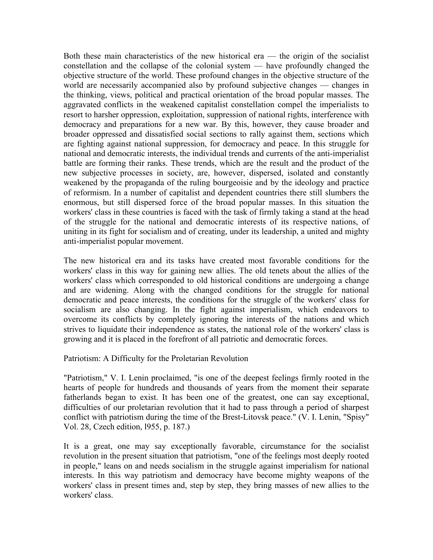Both these main characteristics of the new historical era — the origin of the socialist constellation and the collapse of the colonial system — have profoundly changed the objective structure of the world. These profound changes in the objective structure of the world are necessarily accompanied also by profound subjective changes — changes in the thinking, views, political and practical orientation of the broad popular masses. The aggravated conflicts in the weakened capitalist constellation compel the imperialists to resort to harsher oppression, exploitation, suppression of national rights, interference with democracy and preparations for a new war. By this, however, they cause broader and broader oppressed and dissatisfied social sections to rally against them, sections which are fighting against national suppression, for democracy and peace. In this struggle for national and democratic interests, the individual trends and currents of the anti-imperialist battle are forming their ranks. These trends, which are the result and the product of the new subjective processes in society, are, however, dispersed, isolated and constantly weakened by the propaganda of the ruling bourgeoisie and by the ideology and practice of reformism. In a number of capitalist and dependent countries there still slumbers the enormous, but still dispersed force of the broad popular masses. In this situation the workers' class in these countries is faced with the task of firmly taking a stand at the head of the struggle for the national and democratic interests of its respective nations, of uniting in its fight for socialism and of creating, under its leadership, a united and mighty anti-imperialist popular movement.

The new historical era and its tasks have created most favorable conditions for the workers' class in this way for gaining new allies. The old tenets about the allies of the workers' class which corresponded to old historical conditions are undergoing a change and are widening. Along with the changed conditions for the struggle for national democratic and peace interests, the conditions for the struggle of the workers' class for socialism are also changing. In the fight against imperialism, which endeavors to overcome its conflicts by completely ignoring the interests of the nations and which strives to liquidate their independence as states, the national role of the workers' class is growing and it is placed in the forefront of all patriotic and democratic forces.

Patriotism: A Difficulty for the Proletarian Revolution

"Patriotism," V. I. Lenin proclaimed, "is one of the deepest feelings firmly rooted in the hearts of people for hundreds and thousands of years from the moment their separate fatherlands began to exist. It has been one of the greatest, one can say exceptional, difficulties of our proletarian revolution that it had to pass through a period of sharpest conflict with patriotism during the time of the Brest-Litovsk peace." (V. I. Lenin, "Spisy" Vol. 28, Czech edition, l955, p. 187.)

It is a great, one may say exceptionally favorable, circumstance for the socialist revolution in the present situation that patriotism, "one of the feelings most deeply rooted in people," leans on and needs socialism in the struggle against imperialism for national interests. In this way patriotism and democracy have become mighty weapons of the workers' class in present times and, step by step, they bring masses of new allies to the workers' class.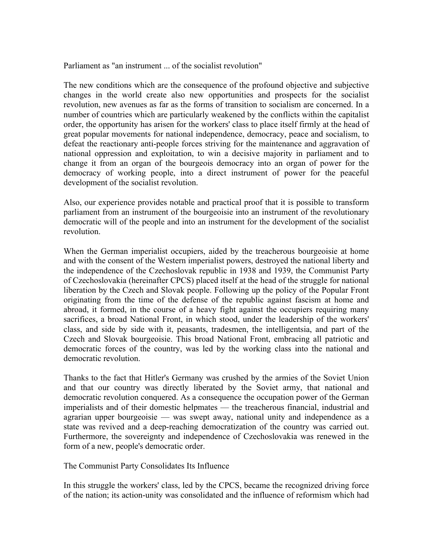Parliament as "an instrument ... of the socialist revolution"

The new conditions which are the consequence of the profound objective and subjective changes in the world create also new opportunities and prospects for the socialist revolution, new avenues as far as the forms of transition to socialism are concerned. In a number of countries which are particularly weakened by the conflicts within the capitalist order, the opportunity has arisen for the workers' class to place itself firmly at the head of great popular movements for national independence, democracy, peace and socialism, to defeat the reactionary anti-people forces striving for the maintenance and aggravation of national oppression and exploitation, to win a decisive majority in parliament and to change it from an organ of the bourgeois democracy into an organ of power for the democracy of working people, into a direct instrument of power for the peaceful development of the socialist revolution.

Also, our experience provides notable and practical proof that it is possible to transform parliament from an instrument of the bourgeoisie into an instrument of the revolutionary democratic will of the people and into an instrument for the development of the socialist revolution.

When the German imperialist occupiers, aided by the treacherous bourgeoisie at home and with the consent of the Western imperialist powers, destroyed the national liberty and the independence of the Czechoslovak republic in 1938 and 1939, the Communist Party of Czechoslovakia (hereinafter CPCS) placed itself at the head of the struggle for national liberation by the Czech and Slovak people. Following up the policy of the Popular Front originating from the time of the defense of the republic against fascism at home and abroad, it formed, in the course of a heavy fight against the occupiers requiring many sacrifices, a broad National Front, in which stood, under the leadership of the workers' class, and side by side with it, peasants, tradesmen, the intelligentsia, and part of the Czech and Slovak bourgeoisie. This broad National Front, embracing all patriotic and democratic forces of the country, was led by the working class into the national and democratic revolution.

Thanks to the fact that Hitler's Germany was crushed by the armies of the Soviet Union and that our country was directly liberated by the Soviet army, that national and democratic revolution conquered. As a consequence the occupation power of the German imperialists and of their domestic helpmates — the treacherous financial, industrial and agrarian upper bourgeoisie — was swept away, national unity and independence as a state was revived and a deep-reaching democratization of the country was carried out. Furthermore, the sovereignty and independence of Czechoslovakia was renewed in the form of a new, people's democratic order.

The Communist Party Consolidates Its Influence

In this struggle the workers' class, led by the CPCS, became the recognized driving force of the nation; its action-unity was consolidated and the influence of reformism which had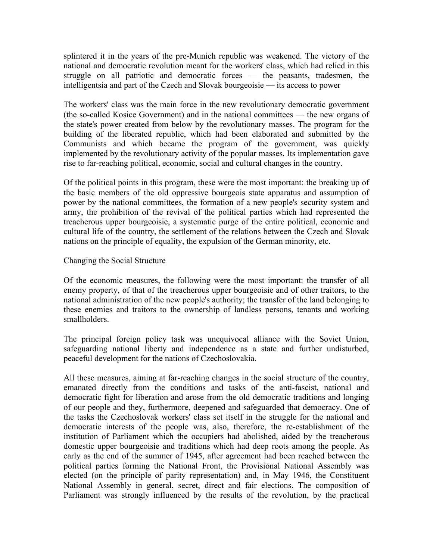splintered it in the years of the pre-Munich republic was weakened. The victory of the national and democratic revolution meant for the workers' class, which had relied in this struggle on all patriotic and democratic forces — the peasants, tradesmen, the intelligentsia and part of the Czech and Slovak bourgeoisie — its access to power

The workers' class was the main force in the new revolutionary democratic government (the so-called Kosice Government) and in the national committees — the new organs of the state's power created from below by the revolutionary masses. The program for the building of the liberated republic, which had been elaborated and submitted by the Communists and which became the program of the government, was quickly implemented by the revolutionary activity of the popular masses. Its implementation gave rise to far-reaching political, economic, social and cultural changes in the country.

Of the political points in this program, these were the most important: the breaking up of the basic members of the old oppressive bourgeois state apparatus and assumption of power by the national committees, the formation of a new people's security system and army, the prohibition of the revival of the political parties which had represented the treacherous upper bourgeoisie, a systematic purge of the entire political, economic and cultural life of the country, the settlement of the relations between the Czech and Slovak nations on the principle of equality, the expulsion of the German minority, etc.

### Changing the Social Structure

Of the economic measures, the following were the most important: the transfer of all enemy property, of that of the treacherous upper bourgeoisie and of other traitors, to the national administration of the new people's authority; the transfer of the land belonging to these enemies and traitors to the ownership of landless persons, tenants and working smallholders.

The principal foreign policy task was unequivocal alliance with the Soviet Union, safeguarding national liberty and independence as a state and further undisturbed, peaceful development for the nations of Czechoslovakia.

All these measures, aiming at far-reaching changes in the social structure of the country, emanated directly from the conditions and tasks of the anti-fascist, national and democratic fight for liberation and arose from the old democratic traditions and longing of our people and they, furthermore, deepened and safeguarded that democracy. One of the tasks the Czechoslovak workers' class set itself in the struggle for the national and democratic interests of the people was, also, therefore, the re-establishment of the institution of Parliament which the occupiers had abolished, aided by the treacherous domestic upper bourgeoisie and traditions which had deep roots among the people. As early as the end of the summer of 1945, after agreement had been reached between the political parties forming the National Front, the Provisional National Assembly was elected (on the principle of parity representation) and, in May 1946, the Constituent National Assembly in general, secret, direct and fair elections. The composition of Parliament was strongly influenced by the results of the revolution, by the practical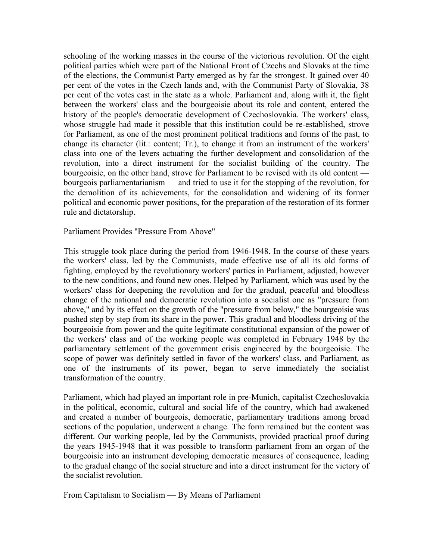schooling of the working masses in the course of the victorious revolution. Of the eight political parties which were part of the National Front of Czechs and Slovaks at the time of the elections, the Communist Party emerged as by far the strongest. It gained over 40 per cent of the votes in the Czech lands and, with the Communist Party of Slovakia, 38 per cent of the votes cast in the state as a whole. Parliament and, along with it, the fight between the workers' class and the bourgeoisie about its role and content, entered the history of the people's democratic development of Czechoslovakia. The workers' class, whose struggle had made it possible that this institution could be re-established, strove for Parliament, as one of the most prominent political traditions and forms of the past, to change its character (lit.: content; Tr.), to change it from an instrument of the workers' class into one of the levers actuating the further development and consolidation of the revolution, into a direct instrument for the socialist building of the country. The bourgeoisie, on the other hand, strove for Parliament to be revised with its old content bourgeois parliamentarianism — and tried to use it for the stopping of the revolution, for the demolition of its achievements, for the consolidation and widening of its former political and economic power positions, for the preparation of the restoration of its former rule and dictatorship.

Parliament Provides "Pressure From Above"

This struggle took place during the period from 1946-1948. In the course of these years the workers' class, led by the Communists, made effective use of all its old forms of fighting, employed by the revolutionary workers' parties in Parliament, adjusted, however to the new conditions, and found new ones. Helped by Parliament, which was used by the workers' class for deepening the revolution and for the gradual, peaceful and bloodless change of the national and democratic revolution into a socialist one as "pressure from above," and by its effect on the growth of the "pressure from below," the bourgeoisie was pushed step by step from its share in the power. This gradual and bloodless driving of the bourgeoisie from power and the quite legitimate constitutional expansion of the power of the workers' class and of the working people was completed in February 1948 by the parliamentary settlement of the government crisis engineered by the bourgeoisie. The scope of power was definitely settled in favor of the workers' class, and Parliament, as one of the instruments of its power, began to serve immediately the socialist transformation of the country.

Parliament, which had played an important role in pre-Munich, capitalist Czechoslovakia in the political, economic, cultural and social life of the country, which had awakened and created a number of bourgeois, democratic, parliamentary traditions among broad sections of the population, underwent a change. The form remained but the content was different. Our working people, led by the Communists, provided practical proof during the years 1945-1948 that it was possible to transform parliament from an organ of the bourgeoisie into an instrument developing democratic measures of consequence, leading to the gradual change of the social structure and into a direct instrument for the victory of the socialist revolution.

From Capitalism to Socialism — By Means of Parliament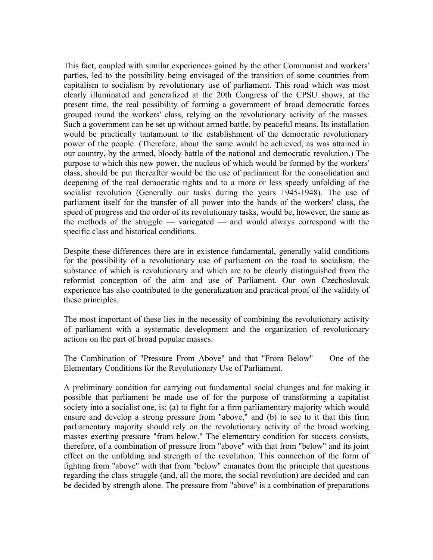This fact, coupled with similar experiences gained by the other Communist and workers' parties, led to the possibility being envisaged of the transition of some countries from capitalism to socialism by revolutionary use of parliament. This road which was most clearly illuminated and generalized at the 20th Congress of the CPSU shows, at the present time, the real possibility of forming a government of broad democratic forces grouped round the workers' class, relying on the revolutionary activity of the masses. Such a government can be set up without armed battle, by peaceful means. Its installation would be practically tantamount to the establishment of the democratic revolutionary power of the people. (Therefore, about the same would be achieved, as was attained in our country, by the armed, bloody battle of the national and democratic revolution.) The purpose to which this new power, the nucleus of which would be formed by the workers' class, should be put thereafter would be the use of parliament for the consolidation and deepening of the real democratic rights and to a more or less speedy unfolding of the socialist revolution (Generally our tasks during the years 1945-1948). The use of parliament itself for the transfer of all power into the hands of the workers' class, the speed of progress and the order of its revolutionary tasks, would be, however, the same as the methods of the struggle — variegated — and would always correspond with the specific class and historical conditions.

Despite these differences there are in existence fundamental, generally valid conditions for the possibility of a revolutionary use of parliament on the road to socialism, the substance of which is revolutionary and which are to be clearly distinguished from the reformist conception of the aim and use of Parliament. Our own Czechoslovak experience has also contributed to the generalization and practical proof of the validity of these principles.

The most important of these lies in the necessity of combining the revolutionary activity of parliament with a systematic development and the organization of revolutionary actions on the part of broad popular masses.

The Combination of "Pressure From Above" and that "From Below" — One of the Elementary Conditions for the Revolutionary Use of Parliament.

A preliminary condition for carrying out fundamental social changes and for making it possible that parliament be made use of for the purpose of transforming a capitalist society into a socialist one, is: (a) to fight for a firm parliamentary majority which would ensure and develop a strong pressure from "above," and (b) to see to it that this firm parliamentary majority should rely on the revolutionary activity of the broad working masses exerting pressure "from below." The elementary condition for success consists, therefore, of a combination of pressure from "above" with that from "below" and its joint effect on the unfolding and strength of the revolution. This connection of the form of fighting from "above" with that from "below" emanates from the principle that questions regarding the class struggle (and, all the more, the social revolution) are decided and can be decided by strength alone. The pressure from "above" is a combination of preparations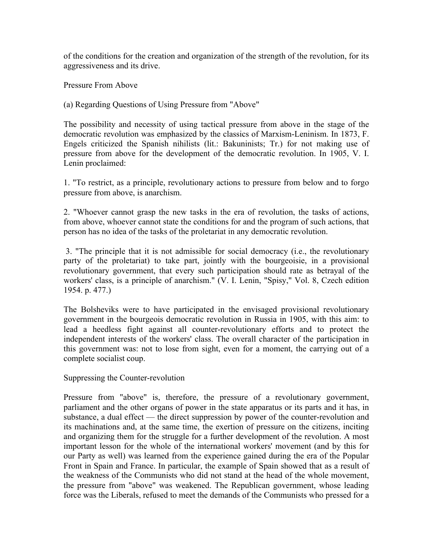of the conditions for the creation and organization of the strength of the revolution, for its aggressiveness and its drive.

Pressure From Above

(a) Regarding Questions of Using Pressure from "Above"

The possibility and necessity of using tactical pressure from above in the stage of the democratic revolution was emphasized by the classics of Marxism-Leninism. In 1873, F. Engels criticized the Spanish nihilists (lit.: Bakuninists; Tr.) for not making use of pressure from above for the development of the democratic revolution. In 1905, V. I. Lenin proclaimed:

1. "To restrict, as a principle, revolutionary actions to pressure from below and to forgo pressure from above, is anarchism.

2. "Whoever cannot grasp the new tasks in the era of revolution, the tasks of actions, from above, whoever cannot state the conditions for and the program of such actions, that person has no idea of the tasks of the proletariat in any democratic revolution.

 3. "The principle that it is not admissible for social democracy (i.e., the revolutionary party of the proletariat) to take part, jointly with the bourgeoisie, in a provisional revolutionary government, that every such participation should rate as betrayal of the workers' class, is a principle of anarchism." (V. I. Lenin, "Spisy," Vol. 8, Czech edition 1954. p. 477.)

The Bolsheviks were to have participated in the envisaged provisional revolutionary government in the bourgeois democratic revolution in Russia in 1905, with this aim: to lead a heedless fight against all counter-revolutionary efforts and to protect the independent interests of the workers' class. The overall character of the participation in this government was: not to lose from sight, even for a moment, the carrying out of a complete socialist coup.

Suppressing the Counter-revolution

Pressure from "above" is, therefore, the pressure of a revolutionary government, parliament and the other organs of power in the state apparatus or its parts and it has, in substance, a dual effect — the direct suppression by power of the counter-revolution and its machinations and, at the same time, the exertion of pressure on the citizens, inciting and organizing them for the struggle for a further development of the revolution. A most important lesson for the whole of the international workers' movement (and by this for our Party as well) was learned from the experience gained during the era of the Popular Front in Spain and France. In particular, the example of Spain showed that as a result of the weakness of the Communists who did not stand at the head of the whole movement, the pressure from "above" was weakened. The Republican government, whose leading force was the Liberals, refused to meet the demands of the Communists who pressed for a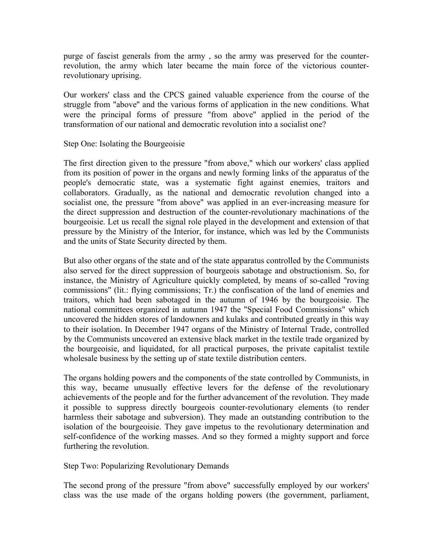purge of fascist generals from the army , so the army was preserved for the counterrevolution, the army which later became the main force of the victorious counterrevolutionary uprising.

Our workers' class and the CPCS gained valuable experience from the course of the struggle from "above'' and the various forms of application in the new conditions. What were the principal forms of pressure "from above'' applied in the period of the transformation of our national and democratic revolution into a socialist one?

Step One: Isolating the Bourgeoisie

The first direction given to the pressure "from above," which our workers' class applied from its position of power in the organs and newly forming links of the apparatus of the people's democratic state, was a systematic fight against enemies, traitors and collaborators. Gradually, as the national and democratic revolution changed into a socialist one, the pressure "from above" was applied in an ever-increasing measure for the direct suppression and destruction of the counter-revolutionary machinations of the bourgeoisie. Let us recall the signal role played in the development and extension of that pressure by the Ministry of the Interior, for instance, which was led by the Communists and the units of State Security directed by them.

But also other organs of the state and of the state apparatus controlled by the Communists also served for the direct suppression of bourgeois sabotage and obstructionism. So, for instance, the Ministry of Agriculture quickly completed, by means of so-called "roving commissions" (lit.: flying commissions; Tr.) the confiscation of the land of enemies and traitors, which had been sabotaged in the autumn of 1946 by the bourgeoisie. The national committees organized in autumn 1947 the "Special Food Commissions" which uncovered the hidden stores of landowners and kulaks and contributed greatly in this way to their isolation. In December 1947 organs of the Ministry of Internal Trade, controlled by the Communists uncovered an extensive black market in the textile trade organized by the bourgeoisie, and liquidated, for all practical purposes, the private capitalist textile wholesale business by the setting up of state textile distribution centers.

The organs holding powers and the components of the state controlled by Communists, in this way, became unusually effective levers for the defense of the revolutionary achievements of the people and for the further advancement of the revolution. They made it possible to suppress directly bourgeois counter-revolutionary elements (to render harmless their sabotage and subversion). They made an outstanding contribution to the isolation of the bourgeoisie. They gave impetus to the revolutionary determination and self-confidence of the working masses. And so they formed a mighty support and force furthering the revolution.

Step Two: Popularizing Revolutionary Demands

The second prong of the pressure "from above" successfully employed by our workers' class was the use made of the organs holding powers (the government, parliament,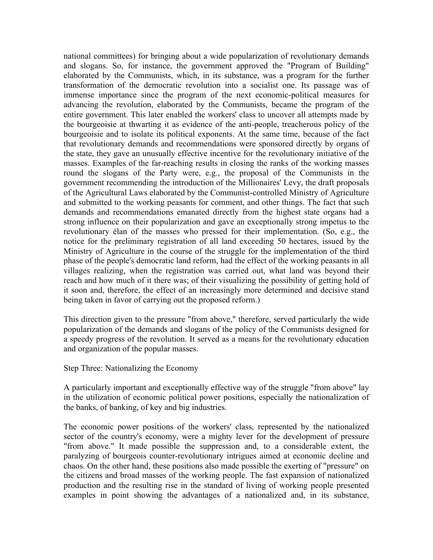national committees) for bringing about a wide popularization of revolutionary demands and slogans. So, for instance, the government approved the "Program of Building" elaborated by the Communists, which, in its substance, was a program for the further transformation of the democratic revolution into a socialist one. Its passage was of immense importance since the program of the next economic-political measures for advancing the revolution, elaborated by the Communists, became the program of the entire government. This later enabled the workers' class to uncover all attempts made by the bourgeoisie at thwarting it as evidence of the anti-people, treacherous policy of the bourgeoisie and to isolate its political exponents. At the same time, because of the fact that revolutionary demands and recommendations were sponsored directly by organs of the state, they gave an unusually effective incentive for the revolutionary initiative of the masses. Examples of the far-reaching results in closing the ranks of the working masses round the slogans of the Party were, e.g., the proposal of the Communists in the government recommending the introduction of the Millionaires' Levy, the draft proposals of the Agricultural Laws elaborated by the Communist-controlled Ministry of Agriculture and submitted to the working peasants for comment, and other things. The fact that such demands and recommendations emanated directly from the highest state organs had a strong influence on their popularization and gave an exceptionally strong impetus to the revolutionary élan of the masses who pressed for their implementation. (So, e.g., the notice for the preliminary registration of all land exceeding 50 hectares, issued by the Ministry of Agriculture in the course of the struggle for the implementation of the third phase of the people's democratic land reform, had the effect of the working peasants in all villages realizing, when the registration was carried out, what land was beyond their reach and how much of it there was; of their visualizing the possibility of getting hold of it soon and, therefore, the effect of an increasingly more determined and decisive stand being taken in favor of carrying out the proposed reform.)

This direction given to the pressure "from above," therefore, served particularly the wide popularization of the demands and slogans of the policy of the Communists designed for a speedy progress of the revolution. It served as a means for the revolutionary education and organization of the popular masses.

Step Three: Nationalizing the Economy

A particularly important and exceptionally effective way of the struggle "from above" lay in the utilization of economic political power positions, especially the nationalization of the banks, of banking, of key and big industries.

The economic power positions of the workers' class, represented by the nationalized sector of the country's economy, were a mighty lever for the development of pressure "from above." It made possible the suppression and, to a considerable extent, the paralyzing of bourgeois counter-revolutionary intrigues aimed at economic decline and chaos. On the other hand, these positions also made possible the exerting of "pressure" on the citizens and broad masses of the working people. The fast expansion of nationalized production and the resulting rise in the standard of living of working people presented examples in point showing the advantages of a nationalized and, in its substance,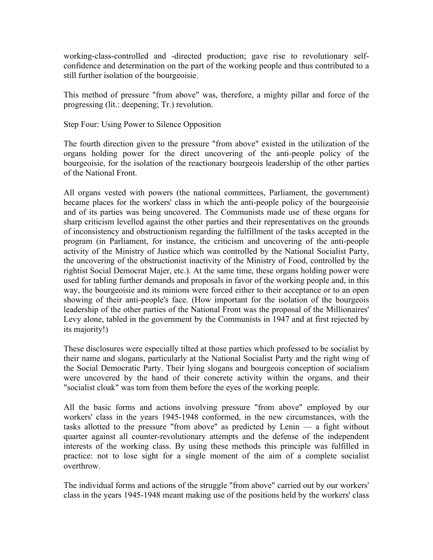working-class-controlled and -directed production; gave rise to revolutionary selfconfidence and determination on the part of the working people and thus contributed to a still further isolation of the bourgeoisie.

This method of pressure "from above" was, therefore, a mighty pillar and force of the progressing (lit.: deepening; Tr.) revolution.

Step Four: Using Power to Silence Opposition

The fourth direction given to the pressure "from above" existed in the utilization of the organs holding power for the direct uncovering of the anti-people policy of the bourgeoisie, for the isolation of the reactionary bourgeois leadership of the other parties of the National Front.

All organs vested with powers (the national committees, Parliament, the government) became places for the workers' class in which the anti-people policy of the bourgeoisie and of its parties was being uncovered. The Communists made use of these organs for sharp criticism levelled against the other parties and their representatives on the grounds of inconsistency and obstructionism regarding the fulfillment of the tasks accepted in the program (in Parliament, for instance, the criticism and uncovering of the anti-people activity of the Ministry of Justice which was controlled by the National Socialist Party, the uncovering of the obstructionist inactivity of the Ministry of Food, controlled by the rightist Social Democrat Majer, etc.). At the same time, these organs holding power were used for tabling further demands and proposals in favor of the working people and, in this way, the bourgeoisie and its minions were forced either to their acceptance or to an open showing of their anti-people's face. (How important for the isolation of the bourgeois leadership of the other parties of the National Front was the proposal of the Millionaires' Levy alone, tabled in the government by the Communists in 1947 and at first rejected by its majority!)

These disclosures were especially tilted at those parties which professed to be socialist by their name and slogans, particularly at the National Socialist Party and the right wing of the Social Democratic Party. Their lying slogans and bourgeois conception of socialism were uncovered by the hand of their concrete activity within the organs, and their "socialist cloak" was torn from them before the eyes of the working people.

All the basic forms and actions involving pressure "from above" employed by our workers' class in the years 1945-1948 conformed, in the new circumstances, with the tasks allotted to the pressure "from above'' as predicted by Lenin — a fight without quarter against all counter-revolutionary attempts and the defense of the independent interests of the working class. By using these methods this principle was fulfilled in practice: not to lose sight for a single moment of the aim of a complete socialist overthrow.

The individual forms and actions of the struggle "from above" carried out by our workers' class in the years 1945-1948 meant making use of the positions held by the workers' class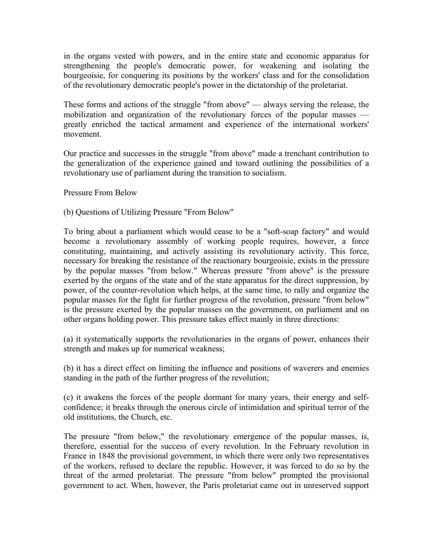in the organs vested with powers, and in the entire state and economic apparatus for strengthening the people's democratic power, for weakening and isolating the bourgeoisie, for conquering its positions by the workers' class and for the consolidation of the revolutionary democratic people's power in the dictatorship of the proletariat.

These forms and actions of the struggle "from above" — always serving the release, the mobilization and organization of the revolutionary forces of the popular masses greatly enriched the tactical armament and experience of the international workers' movement.

Our practice and successes in the struggle "from above" made a trenchant contribution to the generalization of the experience gained and toward outlining the possibilities of a revolutionary use of parliament during the transition to socialism.

Pressure From Below

(b) Questions of Utilizing Pressure "From Below"

To bring about a parliament which would cease to be a "soft-soap factory" and would become a revolutionary assembly of working people requires, however, a force constituting, maintaining, and actively assisting its revolutionary activity. This force, necessary for breaking the resistance of the reactionary bourgeoisie, exists in the pressure by the popular masses "from below." Whereas pressure "from above" is the pressure exerted by the organs of the state and of the state apparatus for the direct suppression, by power, of the counter-revolution which helps, at the same time, to rally and organize the popular masses for the fight for further progress of the revolution, pressure "from below" is the pressure exerted by the popular masses on the government, on parliament and on other organs holding power. This pressure takes effect mainly in three directions:

(a) it systematically supports the revolutionaries in the organs of power, enhances their strength and makes up for numerical weakness;

(b) it has a direct effect on limiting the influence and positions of waverers and enemies standing in the path of the further progress of the revolution;

(c) it awakens the forces of the people dormant for many years, their energy and selfconfidence; it breaks through the onerous circle of intimidation and spiritual terror of the old institutions, the Church, etc.

The pressure "from below," the revolutionary emergence of the popular masses, is, therefore, essential for the success of every revolution. In the February revolution in France in 1848 the provisional government, in which there were only two representatives of the workers, refused to declare the republic. However, it was forced to do so by the threat of the armed proletariat. The pressure "from below" prompted the provisional government to act. When, however, the Paris proletariat came out in unreserved support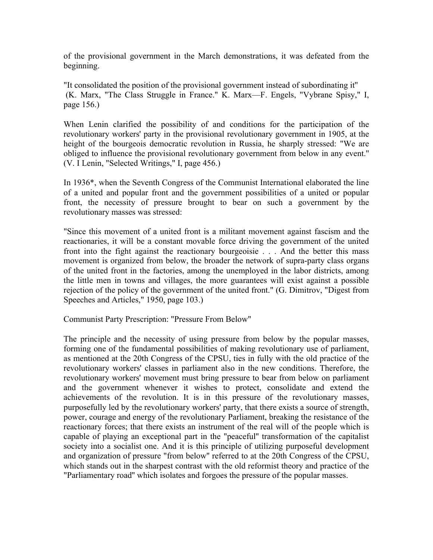of the provisional government in the March demonstrations, it was defeated from the beginning.

"It consolidated the position of the provisional government instead of subordinating it'' (K. Marx, "The Class Struggle in France." K. Marx—F. Engels, "Vybrane Spisy," I, page 156.)

When Lenin clarified the possibility of and conditions for the participation of the revolutionary workers' party in the provisional revolutionary government in 1905, at the height of the bourgeois democratic revolution in Russia, he sharply stressed: "We are obliged to influence the provisional revolutionary government from below in any event.'' (V. I Lenin, "Selected Writings," I, page 456.)

In 1936\*, when the Seventh Congress of the Communist International elaborated the line of a united and popular front and the government possibilities of a united or popular front, the necessity of pressure brought to bear on such a government by the revolutionary masses was stressed:

"Since this movement of a united front is a militant movement against fascism and the reactionaries, it will be a constant movable force driving the government of the united front into the fight against the reactionary bourgeoisie . . . And the better this mass movement is organized from below, the broader the network of supra-party class organs of the united front in the factories, among the unemployed in the labor districts, among the little men in towns and villages, the more guarantees will exist against a possible rejection of the policy of the government of the united front." (G. Dimitrov, "Digest from Speeches and Articles," 1950, page 103.)

Communist Party Prescription: "Pressure From Below"

The principle and the necessity of using pressure from below by the popular masses, forming one of the fundamental possibilities of making revolutionary use of parliament, as mentioned at the 20th Congress of the CPSU, ties in fully with the old practice of the revolutionary workers' classes in parliament also in the new conditions. Therefore, the revolutionary workers' movement must bring pressure to bear from below on parliament and the government whenever it wishes to protect, consolidate and extend the achievements of the revolution. It is in this pressure of the revolutionary masses, purposefully led by the revolutionary workers' party, that there exists a source of strength, power, courage and energy of the revolutionary Parliament, breaking the resistance of the reactionary forces; that there exists an instrument of the real will of the people which is capable of playing an exceptional part in the "peaceful'' transformation of the capitalist society into a socialist one. And it is this principle of utilizing purposeful development and organization of pressure "from below'' referred to at the 20th Congress of the CPSU, which stands out in the sharpest contrast with the old reformist theory and practice of the "Parliamentary road'' which isolates and forgoes the pressure of the popular masses.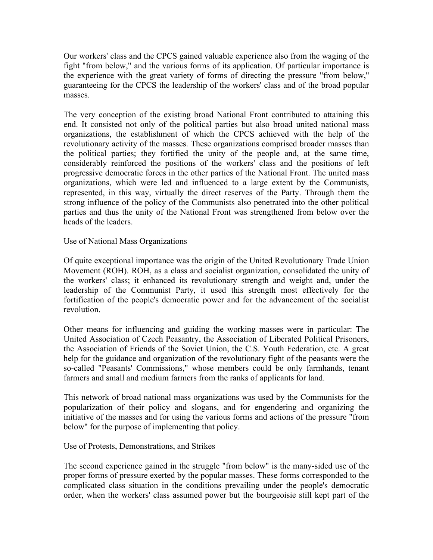Our workers' class and the CPCS gained valuable experience also from the waging of the fight "from below," and the various forms of its application. Of particular importance is the experience with the great variety of forms of directing the pressure "from below,'' guaranteeing for the CPCS the leadership of the workers' class and of the broad popular masses.

The very conception of the existing broad National Front contributed to attaining this end. It consisted not only of the political parties but also broad united national mass organizations, the establishment of which the CPCS achieved with the help of the revolutionary activity of the masses. These organizations comprised broader masses than the political parties; they fortified the unity of the people and, at the same time, considerably reinforced the positions of the workers' class and the positions of left progressive democratic forces in the other parties of the National Front. The united mass organizations, which were led and influenced to a large extent by the Communists, represented, in this way, virtually the direct reserves of the Party. Through them the strong influence of the policy of the Communists also penetrated into the other political parties and thus the unity of the National Front was strengthened from below over the heads of the leaders.

Use of National Mass Organizations

Of quite exceptional importance was the origin of the United Revolutionary Trade Union Movement (ROH). ROH, as a class and socialist organization, consolidated the unity of the workers' class; it enhanced its revolutionary strength and weight and, under the leadership of the Communist Party, it used this strength most effectively for the fortification of the people's democratic power and for the advancement of the socialist revolution.

Other means for influencing and guiding the working masses were in particular: The United Association of Czech Peasantry, the Association of Liberated Political Prisoners, the Association of Friends of the Soviet Union, the C.S. Youth Federation, etc. A great help for the guidance and organization of the revolutionary fight of the peasants were the so-called "Peasants' Commissions," whose members could be only farmhands, tenant farmers and small and medium farmers from the ranks of applicants for land.

This network of broad national mass organizations was used by the Communists for the popularization of their policy and slogans, and for engendering and organizing the initiative of the masses and for using the various forms and actions of the pressure "from below" for the purpose of implementing that policy.

Use of Protests, Demonstrations, and Strikes

The second experience gained in the struggle "from below" is the many-sided use of the proper forms of pressure exerted by the popular masses. These forms corresponded to the complicated class situation in the conditions prevailing under the people's democratic order, when the workers' class assumed power but the bourgeoisie still kept part of the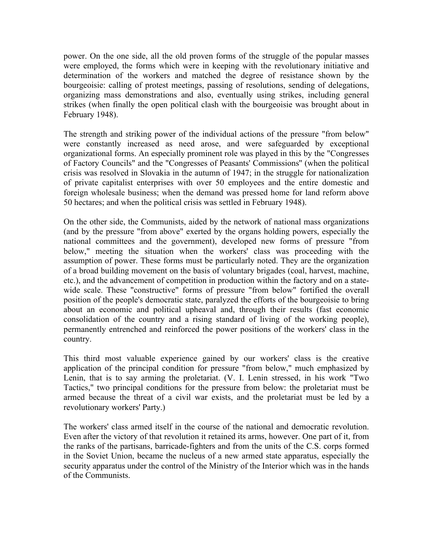power. On the one side, all the old proven forms of the struggle of the popular masses were employed, the forms which were in keeping with the revolutionary initiative and determination of the workers and matched the degree of resistance shown by the bourgeoisie: calling of protest meetings, passing of resolutions, sending of delegations, organizing mass demonstrations and also, eventually using strikes, including general strikes (when finally the open political clash with the bourgeoisie was brought about in February 1948).

The strength and striking power of the individual actions of the pressure "from below" were constantly increased as need arose, and were safeguarded by exceptional organizational forms. An especially prominent role was played in this by the "Congresses of Factory Councils" and the "Congresses of Peasants' Commissions'' (when the political crisis was resolved in Slovakia in the autumn of 1947; in the struggle for nationalization of private capitalist enterprises with over 50 employees and the entire domestic and foreign wholesale business; when the demand was pressed home for land reform above 50 hectares; and when the political crisis was settled in February 1948).

On the other side, the Communists, aided by the network of national mass organizations (and by the pressure "from above" exerted by the organs holding powers, especially the national committees and the government), developed new forms of pressure "from below," meeting the situation when the workers' class was proceeding with the assumption of power. These forms must be particularly noted. They are the organization of a broad building movement on the basis of voluntary brigades (coal, harvest, machine, etc.), and the advancement of competition in production within the factory and on a statewide scale. These "constructive" forms of pressure "from below" fortified the overall position of the people's democratic state, paralyzed the efforts of the bourgeoisie to bring about an economic and political upheaval and, through their results (fast economic consolidation of the country and a rising standard of living of the working people), permanently entrenched and reinforced the power positions of the workers' class in the country.

This third most valuable experience gained by our workers' class is the creative application of the principal condition for pressure "from below," much emphasized by Lenin, that is to say arming the proletariat. (V. I. Lenin stressed, in his work "Two Tactics," two principal conditions for the pressure from below: the proletariat must be armed because the threat of a civil war exists, and the proletariat must be led by a revolutionary workers' Party.)

The workers' class armed itself in the course of the national and democratic revolution. Even after the victory of that revolution it retained its arms, however. One part of it, from the ranks of the partisans, barricade-fighters and from the units of the C.S. corps formed in the Soviet Union, became the nucleus of a new armed state apparatus, especially the security apparatus under the control of the Ministry of the Interior which was in the hands of the Communists.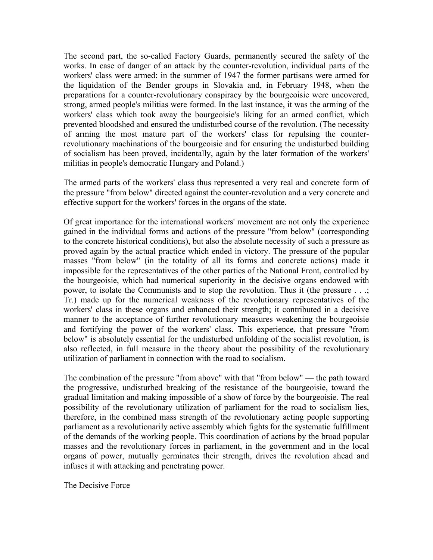The second part, the so-called Factory Guards, permanently secured the safety of the works. In case of danger of an attack by the counter-revolution, individual parts of the workers' class were armed: in the summer of 1947 the former partisans were armed for the liquidation of the Bender groups in Slovakia and, in February 1948, when the preparations for a counter-revolutionary conspiracy by the bourgeoisie were uncovered, strong, armed people's militias were formed. In the last instance, it was the arming of the workers' class which took away the bourgeoisie's liking for an armed conflict, which prevented bloodshed and ensured the undisturbed course of the revolution. (The necessity of arming the most mature part of the workers' class for repulsing the counterrevolutionary machinations of the bourgeoisie and for ensuring the undisturbed building of socialism has been proved, incidentally, again by the later formation of the workers' militias in people's democratic Hungary and Poland.)

The armed parts of the workers' class thus represented a very real and concrete form of the pressure "from below" directed against the counter-revolution and a very concrete and effective support for the workers' forces in the organs of the state.

Of great importance for the international workers' movement are not only the experience gained in the individual forms and actions of the pressure "from below" (corresponding to the concrete historical conditions), but also the absolute necessity of such a pressure as proved again by the actual practice which ended in victory. The pressure of the popular masses "from below" (in the totality of all its forms and concrete actions) made it impossible for the representatives of the other parties of the National Front, controlled by the bourgeoisie, which had numerical superiority in the decisive organs endowed with power, to isolate the Communists and to stop the revolution. Thus it (the pressure . . .; Tr.) made up for the numerical weakness of the revolutionary representatives of the workers' class in these organs and enhanced their strength; it contributed in a decisive manner to the acceptance of further revolutionary measures weakening the bourgeoisie and fortifying the power of the workers' class. This experience, that pressure "from below" is absolutely essential for the undisturbed unfolding of the socialist revolution, is also reflected, in full measure in the theory about the possibility of the revolutionary utilization of parliament in connection with the road to socialism.

The combination of the pressure "from above" with that "from below" — the path toward the progressive, undisturbed breaking of the resistance of the bourgeoisie, toward the gradual limitation and making impossible of a show of force by the bourgeoisie. The real possibility of the revolutionary utilization of parliament for the road to socialism lies, therefore, in the combined mass strength of the revolutionary acting people supporting parliament as a revolutionarily active assembly which fights for the systematic fulfillment of the demands of the working people. This coordination of actions by the broad popular masses and the revolutionary forces in parliament, in the government and in the local organs of power, mutually germinates their strength, drives the revolution ahead and infuses it with attacking and penetrating power.

The Decisive Force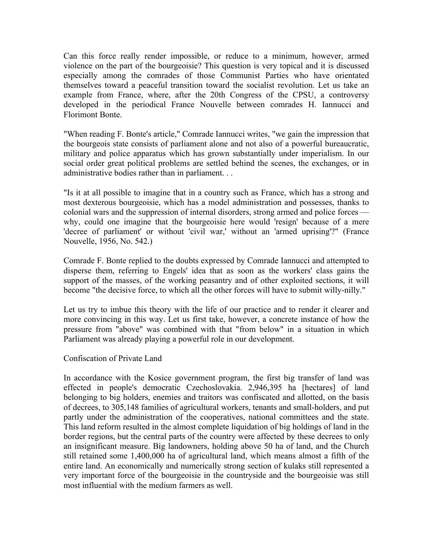Can this force really render impossible, or reduce to a minimum, however, armed violence on the part of the bourgeoisie? This question is very topical and it is discussed especially among the comrades of those Communist Parties who have orientated themselves toward a peaceful transition toward the socialist revolution. Let us take an example from France, where, after the 20th Congress of the CPSU, a controversy developed in the periodical France Nouvelle between comrades H. Iannucci and Florimont Bonte.

"When reading F. Bonte's article," Comrade Iannucci writes, "we gain the impression that the bourgeois state consists of parliament alone and not also of a powerful bureaucratic, military and police apparatus which has grown substantially under imperialism. In our social order great political problems are settled behind the scenes, the exchanges, or in administrative bodies rather than in parliament. . .

"Is it at all possible to imagine that in a country such as France, which has a strong and most dexterous bourgeoisie, which has a model administration and possesses, thanks to colonial wars and the suppression of internal disorders, strong armed and police forces why, could one imagine that the bourgeoisie here would 'resign' because of a mere 'decree of parliament' or without 'civil war,' without an 'armed uprising'?" (France Nouvelle, 1956, No. 542.)

Comrade F. Bonte replied to the doubts expressed by Comrade Iannucci and attempted to disperse them, referring to Engels' idea that as soon as the workers' class gains the support of the masses, of the working peasantry and of other exploited sections, it will become "the decisive force, to which all the other forces will have to submit willy-nilly."

Let us try to imbue this theory with the life of our practice and to render it clearer and more convincing in this way. Let us first take, however, a concrete instance of how the pressure from "above" was combined with that "from below" in a situation in which Parliament was already playing a powerful role in our development.

### Confiscation of Private Land

In accordance with the Kosice government program, the first big transfer of land was effected in people's democratic Czechoslovakia. 2,946,395 ha [hectares] of land belonging to big holders, enemies and traitors was confiscated and allotted, on the basis of decrees, to 305,148 families of agricultural workers, tenants and small-holders, and put partly under the administration of the cooperatives, national committees and the state. This land reform resulted in the almost complete liquidation of big holdings of land in the border regions, but the central parts of the country were affected by these decrees to only an insignificant measure. Big landowners, holding above 50 ha of land, and the Church still retained some 1,400,000 ha of agricultural land, which means almost a fifth of the entire land. An economically and numerically strong section of kulaks still represented a very important force of the bourgeoisie in the countryside and the bourgeoisie was still most influential with the medium farmers as well.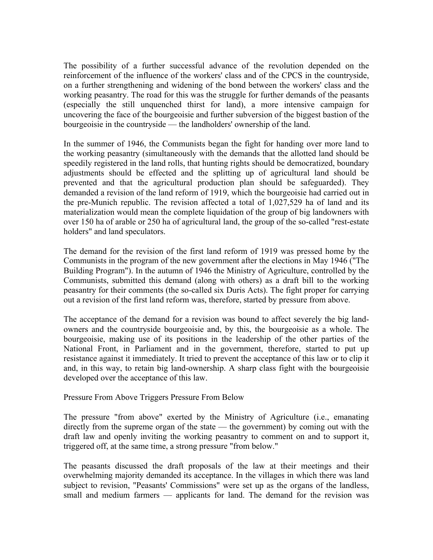The possibility of a further successful advance of the revolution depended on the reinforcement of the influence of the workers' class and of the CPCS in the countryside, on a further strengthening and widening of the bond between the workers' class and the working peasantry. The road for this was the struggle for further demands of the peasants (especially the still unquenched thirst for land), a more intensive campaign for uncovering the face of the bourgeoisie and further subversion of the biggest bastion of the bourgeoisie in the countryside — the landholders' ownership of the land.

In the summer of 1946, the Communists began the fight for handing over more land to the working peasantry (simultaneously with the demands that the allotted land should be speedily registered in the land rolls, that hunting rights should be democratized, boundary adjustments should be effected and the splitting up of agricultural land should be prevented and that the agricultural production plan should be safeguarded). They demanded a revision of the land reform of 1919, which the bourgeoisie had carried out in the pre-Munich republic. The revision affected a total of 1,027,529 ha of land and its materialization would mean the complete liquidation of the group of big landowners with over 150 ha of arable or 250 ha of agricultural land, the group of the so-called "rest-estate holders" and land speculators.

The demand for the revision of the first land reform of 1919 was pressed home by the Communists in the program of the new government after the elections in May 1946 ("The Building Program"). In the autumn of 1946 the Ministry of Agriculture, controlled by the Communists, submitted this demand (along with others) as a draft bill to the working peasantry for their comments (the so-called six Duris Acts). The fight proper for carrying out a revision of the first land reform was, therefore, started by pressure from above.

The acceptance of the demand for a revision was bound to affect severely the big landowners and the countryside bourgeoisie and, by this, the bourgeoisie as a whole. The bourgeoisie, making use of its positions in the leadership of the other parties of the National Front, in Parliament and in the government, therefore, started to put up resistance against it immediately. It tried to prevent the acceptance of this law or to clip it and, in this way, to retain big land-ownership. A sharp class fight with the bourgeoisie developed over the acceptance of this law.

Pressure From Above Triggers Pressure From Below

The pressure "from above" exerted by the Ministry of Agriculture (i.e., emanating directly from the supreme organ of the state — the government) by coming out with the draft law and openly inviting the working peasantry to comment on and to support it, triggered off, at the same time, a strong pressure "from below."

The peasants discussed the draft proposals of the law at their meetings and their overwhelming majority demanded its acceptance. In the villages in which there was land subject to revision, "Peasants' Commissions" were set up as the organs of the landless, small and medium farmers — applicants for land. The demand for the revision was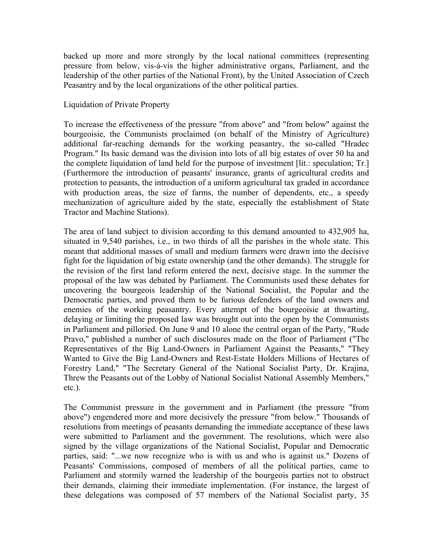backed up more and more strongly by the local national committees (representing pressure from below, vis-à-vis the higher administrative organs, Parliament, and the leadership of the other parties of the National Front), by the United Association of Czech Peasantry and by the local organizations of the other political parties.

# Liquidation of Private Property

To increase the effectiveness of the pressure "from above" and "from below" against the bourgeoisie, the Communists proclaimed (on behalf of the Ministry of Agriculture) additional far-reaching demands for the working peasantry, the so-called "Hradec Program." Its basic demand was the division into lots of all big estates of over 50 ha and the complete liquidation of land held for the purpose of investment [lit.: speculation; Tr.] (Furthermore the introduction of peasants' insurance, grants of agricultural credits and protection to peasants, the introduction of a uniform agricultural tax graded in accordance with production areas, the size of farms, the number of dependents, etc., a speedy mechanization of agriculture aided by the state, especially the establishment of State Tractor and Machine Stations).

The area of land subject to division according to this demand amounted to 432,905 ha, situated in 9,540 parishes, i.e., in two thirds of all the parishes in the whole state. This meant that additional masses of small and medium farmers were drawn into the decisive fight for the liquidation of big estate ownership (and the other demands). The struggle for the revision of the first land reform entered the next, decisive stage. In the summer the proposal of the law was debated by Parliament. The Communists used these debates for uncovering the bourgeois leadership of the National Socialist, the Popular and the Democratic parties, and proved them to be furious defenders of the land owners and enemies of the working peasantry. Every attempt of the bourgeoisie at thwarting, delaying or limiting the proposed law was brought out into the open by the Communists in Parliament and pilloried. On June 9 and 10 alone the central organ of the Party, "Rude Pravo," published a number of such disclosures made on the floor of Parliament ("The Representatives of the Big Land-Owners in Parliament Against the Peasants," "They Wanted to Give the Big Land-Owners and Rest-Estate Holders Millions of Hectares of Forestry Land," "The Secretary General of the National Socialist Party, Dr. Krajina, Threw the Peasants out of the Lobby of National Socialist National Assembly Members," etc.).

The Communist pressure in the government and in Parliament (the pressure "from above") engendered more and more decisively the pressure "from below." Thousands of resolutions from meetings of peasants demanding the immediate acceptance of these laws were submitted to Parliament and the government. The resolutions, which were also signed by the village organizations of the National Socialist, Popular and Democratic parties, said: "...we now recognize who is with us and who is against us." Dozens of Peasants' Commissions, composed of members of all the political parties, came to Parliament and stormily warned the leadership of the bourgeois parties not to obstruct their demands, claiming their immediate implementation. (For instance, the largest of these delegations was composed of 57 members of the National Socialist party, 35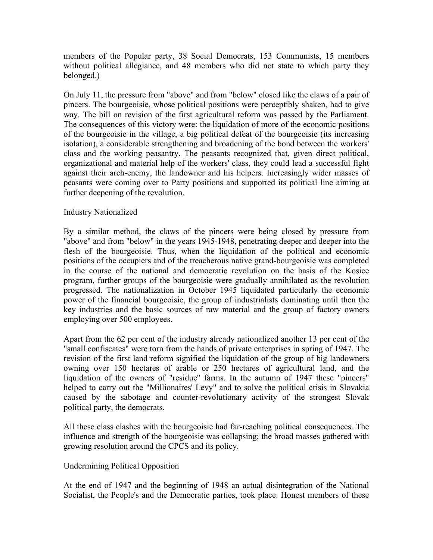members of the Popular party, 38 Social Democrats, 153 Communists, 15 members without political allegiance, and 48 members who did not state to which party they belonged.)

On July 11, the pressure from "above" and from "below" closed like the claws of a pair of pincers. The bourgeoisie, whose political positions were perceptibly shaken, had to give way. The bill on revision of the first agricultural reform was passed by the Parliament. The consequences of this victory were: the liquidation of more of the economic positions of the bourgeoisie in the village, a big political defeat of the bourgeoisie (its increasing isolation), a considerable strengthening and broadening of the bond between the workers' class and the working peasantry. The peasants recognized that, given direct political, organizational and material help of the workers' class, they could lead a successful fight against their arch-enemy, the landowner and his helpers. Increasingly wider masses of peasants were coming over to Party positions and supported its political line aiming at further deepening of the revolution.

# Industry Nationalized

By a similar method, the claws of the pincers were being closed by pressure from "above" and from "below" in the years 1945-1948, penetrating deeper and deeper into the flesh of the bourgeoisie. Thus, when the liquidation of the political and economic positions of the occupiers and of the treacherous native grand-bourgeoisie was completed in the course of the national and democratic revolution on the basis of the Kosice program, further groups of the bourgeoisie were gradually annihilated as the revolution progressed. The nationalization in October 1945 liquidated particularly the economic power of the financial bourgeoisie, the group of industrialists dominating until then the key industries and the basic sources of raw material and the group of factory owners employing over 500 employees.

Apart from the 62 per cent of the industry already nationalized another 13 per cent of the "small confiscates" were torn from the hands of private enterprises in spring of 1947. The revision of the first land reform signified the liquidation of the group of big landowners owning over 150 hectares of arable or 250 hectares of agricultural land, and the liquidation of the owners of "residue'' farms. In the autumn of 1947 these "pincers" helped to carry out the "Millionaires' Levy" and to solve the political crisis in Slovakia caused by the sabotage and counter-revolutionary activity of the strongest Slovak political party, the democrats.

All these class clashes with the bourgeoisie had far-reaching political consequences. The influence and strength of the bourgeoisie was collapsing; the broad masses gathered with growing resolution around the CPCS and its policy.

### Undermining Political Opposition

At the end of 1947 and the beginning of 1948 an actual disintegration of the National Socialist, the People's and the Democratic parties, took place. Honest members of these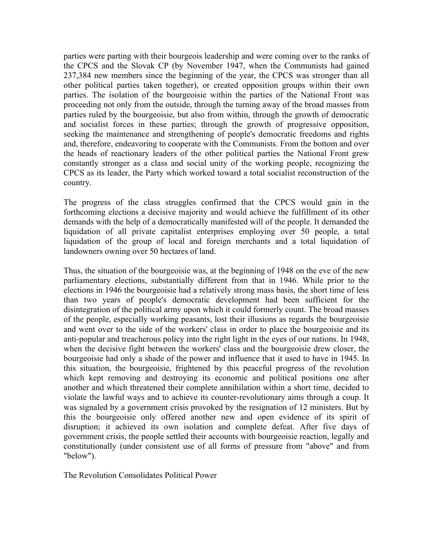parties were parting with their bourgeois leadership and were coming over to the ranks of the CPCS and the Slovak CP (by November 1947, when the Communists had gained 237,384 new members since the beginning of the year, the CPCS was stronger than all other political parties taken together), or created opposition groups within their own parties. The isolation of the bourgeoisie within the parties of the National Front was proceeding not only from the outside, through the turning away of the broad masses from parties ruled by the bourgeoisie, but also from within, through the growth of democratic and socialist forces in these parties; through the growth of progressive opposition, seeking the maintenance and strengthening of people's democratic freedoms and rights and, therefore, endeavoring to cooperate with the Communists. From the bottom and over the heads of reactionary leaders of the other political parties the National Front grew constantly stronger as a class and social unity of the working people, recognizing the CPCS as its leader, the Party which worked toward a total socialist reconstruction of the country.

The progress of the class struggles confirmed that the CPCS would gain in the forthcoming elections a decisive majority and would achieve the fulfillment of its other demands with the help of a democratically manifested will of the people. It demanded the liquidation of all private capitalist enterprises employing over 50 people, a total liquidation of the group of local and foreign merchants and a total liquidation of landowners owning over 50 hectares of land.

Thus, the situation of the bourgeoisie was, at the beginning of 1948 on the eve of the new parliamentary elections, substantially different from that in 1946. While prior to the elections in 1946 the bourgeoisie had a relatively strong mass basis, the short time of less than two years of people's democratic development had been sufficient for the disintegration of the political army upon which it could formerly count. The broad masses of the people, especially working peasants, lost their illusions as regards the bourgeoisie and went over to the side of the workers' class in order to place the bourgeoisie and its anti-popular and treacherous policy into the right light in the eyes of our nations. In 1948, when the decisive fight between the workers' class and the bourgeoisie drew closer, the bourgeoisie had only a shade of the power and influence that it used to have in 1945. In this situation, the bourgeoisie, frightened by this peaceful progress of the revolution which kept removing and destroying its economic and political positions one after another and which threatened their complete annihilation within a short time, decided to violate the lawful ways and to achieve its counter-revolutionary aims through a coup. It was signaled by a government crisis provoked by the resignation of 12 ministers. But by this the bourgeoisie only offered another new and open evidence of its spirit of disruption; it achieved its own isolation and complete defeat. After five days of government crisis, the people settled their accounts with bourgeoisie reaction, legally and constitutionally (under consistent use of all forms of pressure from "above" and from "below").

The Revolution Consolidates Political Power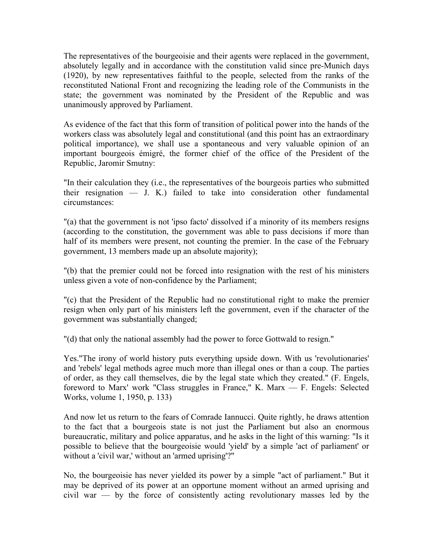The representatives of the bourgeoisie and their agents were replaced in the government, absolutely legally and in accordance with the constitution valid since pre-Munich days (1920), by new representatives faithful to the people, selected from the ranks of the reconstituted National Front and recognizing the leading role of the Communists in the state; the government was nominated by the President of the Republic and was unanimously approved by Parliament.

As evidence of the fact that this form of transition of political power into the hands of the workers class was absolutely legal and constitutional (and this point has an extraordinary political importance), we shall use a spontaneous and very valuable opinion of an important bourgeois émigré, the former chief of the office of the President of the Republic, Jaromir Smutny:

"In their calculation they (i.e., the representatives of the bourgeois parties who submitted their resignation — J. K.) failed to take into consideration other fundamental circumstances:

"(a) that the government is not 'ipso facto' dissolved if a minority of its members resigns (according to the constitution, the government was able to pass decisions if more than half of its members were present, not counting the premier. In the case of the February government, 13 members made up an absolute majority);

"(b) that the premier could not be forced into resignation with the rest of his ministers unless given a vote of non-confidence by the Parliament;

"(c) that the President of the Republic had no constitutional right to make the premier resign when only part of his ministers left the government, even if the character of the government was substantially changed;

"(d) that only the national assembly had the power to force Gottwald to resign."

Yes."The irony of world history puts everything upside down. With us 'revolutionaries' and 'rebels' legal methods agree much more than illegal ones or than a coup. The parties of order, as they call themselves, die by the legal state which they created." (F. Engels, foreword to Marx' work "Class struggles in France," K. Marx — F. Engels: Selected Works, volume 1, 1950, p. 133)

And now let us return to the fears of Comrade Iannucci. Quite rightly, he draws attention to the fact that a bourgeois state is not just the Parliament but also an enormous bureaucratic, military and police apparatus, and he asks in the light of this warning: "Is it possible to believe that the bourgeoisie would 'yield' by a simple 'act of parliament' or without a 'civil war,' without an 'armed uprising'?"

No, the bourgeoisie has never yielded its power by a simple "act of parliament." But it may be deprived of its power at an opportune moment without an armed uprising and civil war — by the force of consistently acting revolutionary masses led by the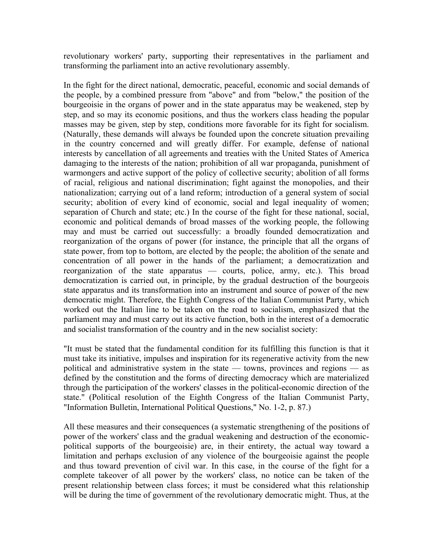revolutionary workers' party, supporting their representatives in the parliament and transforming the parliament into an active revolutionary assembly.

In the fight for the direct national, democratic, peaceful, economic and social demands of the people, by a combined pressure from "above" and from "below," the position of the bourgeoisie in the organs of power and in the state apparatus may be weakened, step by step, and so may its economic positions, and thus the workers class heading the popular masses may be given, step by step, conditions more favorable for its fight for socialism. (Naturally, these demands will always be founded upon the concrete situation prevailing in the country concerned and will greatly differ. For example, defense of national interests by cancellation of all agreements and treaties with the United States of America damaging to the interests of the nation; prohibition of all war propaganda, punishment of warmongers and active support of the policy of collective security; abolition of all forms of racial, religious and national discrimination; fight against the monopolies, and their nationalization; carrying out of a land reform; introduction of a general system of social security; abolition of every kind of economic, social and legal inequality of women; separation of Church and state; etc.) In the course of the fight for these national, social, economic and political demands of broad masses of the working people, the following may and must be carried out successfully: a broadly founded democratization and reorganization of the organs of power (for instance, the principle that all the organs of state power, from top to bottom, are elected by the people; the abolition of the senate and concentration of all power in the hands of the parliament; a democratization and reorganization of the state apparatus — courts, police, army, etc.). This broad democratization is carried out, in principle, by the gradual destruction of the bourgeois state apparatus and its transformation into an instrument and source of power of the new democratic might. Therefore, the Eighth Congress of the Italian Communist Party, which worked out the Italian line to be taken on the road to socialism, emphasized that the parliament may and must carry out its active function, both in the interest of a democratic and socialist transformation of the country and in the new socialist society:

"It must be stated that the fundamental condition for its fulfilling this function is that it must take its initiative, impulses and inspiration for its regenerative activity from the new political and administrative system in the state — towns, provinces and regions — as defined by the constitution and the forms of directing democracy which are materialized through the participation of the workers' classes in the political-economic direction of the state." (Political resolution of the Eighth Congress of the Italian Communist Party, "Information Bulletin, International Political Questions," No. 1-2, p. 87.)

All these measures and their consequences (a systematic strengthening of the positions of power of the workers' class and the gradual weakening and destruction of the economicpolitical supports of the bourgeoisie) are, in their entirety, the actual way toward a limitation and perhaps exclusion of any violence of the bourgeoisie against the people and thus toward prevention of civil war. In this case, in the course of the fight for a complete takeover of all power by the workers' class, no notice can be taken of the present relationship between class forces; it must be considered what this relationship will be during the time of government of the revolutionary democratic might. Thus, at the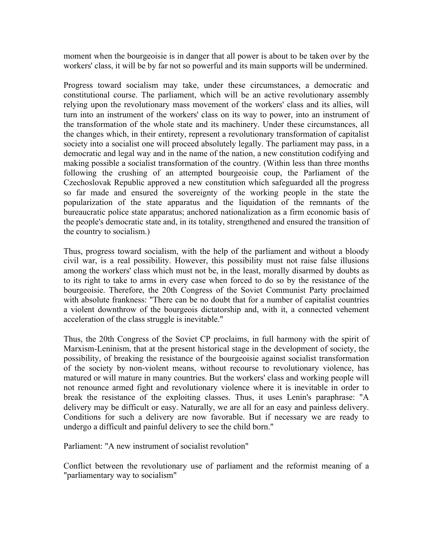moment when the bourgeoisie is in danger that all power is about to be taken over by the workers' class, it will be by far not so powerful and its main supports will be undermined.

Progress toward socialism may take, under these circumstances, a democratic and constitutional course. The parliament, which will be an active revolutionary assembly relying upon the revolutionary mass movement of the workers' class and its allies, will turn into an instrument of the workers' class on its way to power, into an instrument of the transformation of the whole state and its machinery. Under these circumstances, all the changes which, in their entirety, represent a revolutionary transformation of capitalist society into a socialist one will proceed absolutely legally. The parliament may pass, in a democratic and legal way and in the name of the nation, a new constitution codifying and making possible a socialist transformation of the country. (Within less than three months following the crushing of an attempted bourgeoisie coup, the Parliament of the Czechoslovak Republic approved a new constitution which safeguarded all the progress so far made and ensured the sovereignty of the working people in the state the popularization of the state apparatus and the liquidation of the remnants of the bureaucratic police state apparatus; anchored nationalization as a firm economic basis of the people's democratic state and, in its totality, strengthened and ensured the transition of the country to socialism.)

Thus, progress toward socialism, with the help of the parliament and without a bloody civil war, is a real possibility. However, this possibility must not raise false illusions among the workers' class which must not be, in the least, morally disarmed by doubts as to its right to take to arms in every case when forced to do so by the resistance of the bourgeoisie. Therefore, the 20th Congress of the Soviet Communist Party proclaimed with absolute frankness: "There can be no doubt that for a number of capitalist countries a violent downthrow of the bourgeois dictatorship and, with it, a connected vehement acceleration of the class struggle is inevitable."

Thus, the 20th Congress of the Soviet CP proclaims, in full harmony with the spirit of Marxism-Leninism, that at the present historical stage in the development of society, the possibility, of breaking the resistance of the bourgeoisie against socialist transformation of the society by non-violent means, without recourse to revolutionary violence, has matured or will mature in many countries. But the workers' class and working people will not renounce armed fight and revolutionary violence where it is inevitable in order to break the resistance of the exploiting classes. Thus, it uses Lenin's paraphrase: "A delivery may be difficult or easy. Naturally, we are all for an easy and painless delivery. Conditions for such a delivery are now favorable. But if necessary we are ready to undergo a difficult and painful delivery to see the child born."

Parliament: "A new instrument of socialist revolution"

Conflict between the revolutionary use of parliament and the reformist meaning of a "parliamentary way to socialism"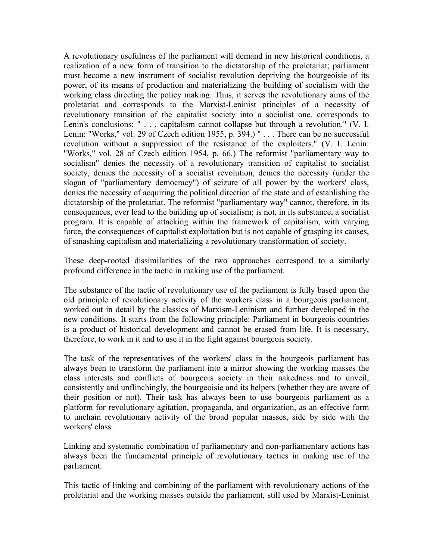A revolutionary usefulness of the parliament will demand in new historical conditions, a realization of a new form of transition to the dictatorship of the proletariat; parliament must become a new instrument of socialist revolution depriving the bourgeoisie of its power, of its means of production and materializing the building of socialism with the working class directing the policy making. Thus, it serves the revolutionary aims of the proletariat and corresponds to the Marxist-Leninist principles of a necessity of revolutionary transition of the capitalist society into a socialist one, corresponds to Lenin's conclusions: " . . . capitalism cannot collapse but through a revolution." (V. I. Lenin: "Works," vol. 29 of Czech edition 1955, p. 394.) " . . . There can be no successful revolution without a suppression of the resistance of the exploiters." (V. I. Lenin: "Works," vol. 28 of Czech edition 1954, p. 66.) The reformist "parliamentary way to socialism" denies the necessity of a revolutionary transition of capitalist to socialist society, denies the necessity of a socialist revolution, denies the necessity (under the slogan of "parliamentary democracy") of seizure of all power by the workers' class, denies the necessity of acquiring the political direction of the state and of establishing the dictatorship of the proletariat. The reformist "parliamentary way" cannot, therefore, in its consequences, ever lead to the building up of socialism; is not, in its substance, a socialist program. It is capable of attacking within the framework of capitalism, with varying force, the consequences of capitalist exploitation but is not capable of grasping its causes, of smashing capitalism and materializing a revolutionary transformation of society.

These deep-rooted dissimilarities of the two approaches correspond to a similarly profound difference in the tactic in making use of the parliament.

The substance of the tactic of revolutionary use of the parliament is fully based upon the old principle of revolutionary activity of the workers class in a bourgeois parliament, worked out in detail by the classics of Marxism-Leninism and further developed in the new conditions. It starts from the following principle: Parliament in bourgeois countries is a product of historical development and cannot be erased from life. It is necessary, therefore, to work in it and to use it in the fight against bourgeois society.

The task of the representatives of the workers' class in the bourgeois parliament has always been to transform the parliament into a mirror showing the working masses the class interests and conflicts of bourgeois society in their nakedness and to unveil, consistently and unflinchingly, the bourgeoisie and its helpers (whether they are aware of their position or not). Their task has always been to use bourgeois parliament as a platform for revolutionary agitation, propaganda, and organization, as an effective form to unchain revolutionary activity of the broad popular masses, side by side with the workers' class.

Linking and systematic combination of parliamentary and non-parliamentary actions has always been the fundamental principle of revolutionary tactics in making use of the parliament.

This tactic of linking and combining of the parliament with revolutionary actions of the proletariat and the working masses outside the parliament, still used by Marxist-Leninist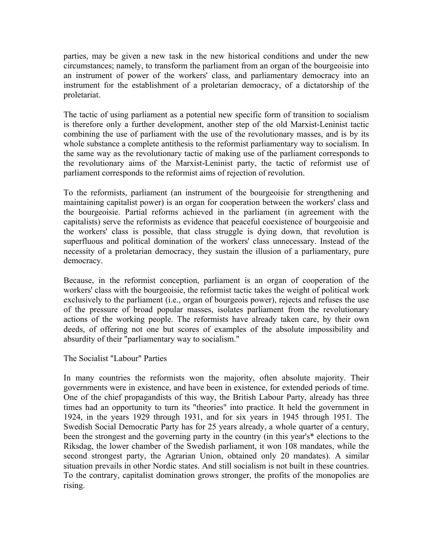parties, may be given a new task in the new historical conditions and under the new circumstances; namely, to transform the parliament from an organ of the bourgeoisie into an instrument of power of the workers' class, and parliamentary democracy into an instrument for the establishment of a proletarian democracy, of a dictatorship of the proletariat.

The tactic of using parliament as a potential new specific form of transition to socialism is therefore only a further development, another step of the old Marxist-Leninist tactic combining the use of parliament with the use of the revolutionary masses, and is by its whole substance a complete antithesis to the reformist parliamentary way to socialism. In the same way as the revolutionary tactic of making use of the parliament corresponds to the revolutionary aims of the Marxist-Leninist party, the tactic of reformist use of parliament corresponds to the reformist aims of rejection of revolution.

To the reformists, parliament (an instrument of the bourgeoisie for strengthening and maintaining capitalist power) is an organ for cooperation between the workers' class and the bourgeoisie. Partial reforms achieved in the parliament (in agreement with the capitalists) serve the reformists as evidence that peaceful coexistence of bourgeoisie and the workers' class is possible, that class struggle is dying down, that revolution is superfluous and political domination of the workers' class unnecessary. Instead of the necessity of a proletarian democracy, they sustain the illusion of a parliamentary, pure democracy.

Because, in the reformist conception, parliament is an organ of cooperation of the workers' class with the bourgeoisie, the reformist tactic takes the weight of political work exclusively to the parliament (i.e., organ of bourgeois power), rejects and refuses the use of the pressure of broad popular masses, isolates parliament from the revolutionary actions of the working people. The reformists have already taken care, by their own deeds, of offering not one but scores of examples of the absolute impossibility and absurdity of their "parliamentary way to socialism."

The Socialist "Labour" Parties

In many countries the reformists won the majority, often absolute majority. Their governments were in existence, and have been in existence, for extended periods of time. One of the chief propagandists of this way, the British Labour Party, already has three times had an opportunity to turn its "theories" into practice. It held the government in 1924, in the years 1929 through 1931, and for six years in 1945 through 1951. The Swedish Social Democratic Party has for 25 years already, a whole quarter of a century, been the strongest and the governing party in the country (in this year's\* elections to the Riksdag, the lower chamber of the Swedish parliament, it won 108 mandates, while the second strongest party, the Agrarian Union, obtained only 20 mandates). A similar situation prevails in other Nordic states. And still socialism is not built in these countries. To the contrary, capitalist domination grows stronger, the profits of the monopolies are rising.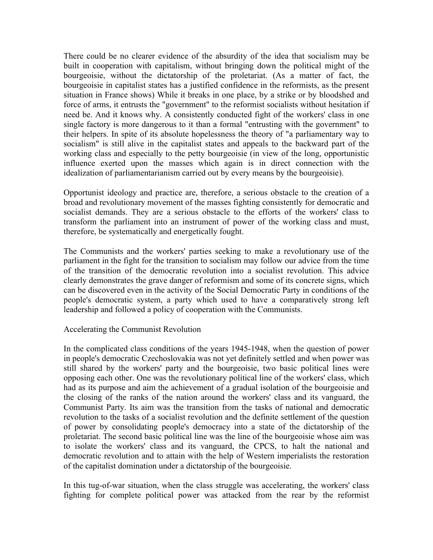There could be no clearer evidence of the absurdity of the idea that socialism may be built in cooperation with capitalism, without bringing down the political might of the bourgeoisie, without the dictatorship of the proletariat. (As a matter of fact, the bourgeoisie in capitalist states has a justified confidence in the reformists, as the present situation in France shows) While it breaks in one place, by a strike or by bloodshed and force of arms, it entrusts the "government" to the reformist socialists without hesitation if need be. And it knows why. A consistently conducted fight of the workers' class in one single factory is more dangerous to it than a formal "entrusting with the government" to their helpers. In spite of its absolute hopelessness the theory of "a parliamentary way to socialism" is still alive in the capitalist states and appeals to the backward part of the working class and especially to the petty bourgeoisie (in view of the long, opportunistic influence exerted upon the masses which again is in direct connection with the idealization of parliamentarianism carried out by every means by the bourgeoisie).

Opportunist ideology and practice are, therefore, a serious obstacle to the creation of a broad and revolutionary movement of the masses fighting consistently for democratic and socialist demands. They are a serious obstacle to the efforts of the workers' class to transform the parliament into an instrument of power of the working class and must, therefore, be systematically and energetically fought.

The Communists and the workers' parties seeking to make a revolutionary use of the parliament in the fight for the transition to socialism may follow our advice from the time of the transition of the democratic revolution into a socialist revolution. This advice clearly demonstrates the grave danger of reformism and some of its concrete signs, which can be discovered even in the activity of the Social Democratic Party in conditions of the people's democratic system, a party which used to have a comparatively strong left leadership and followed a policy of cooperation with the Communists.

### Accelerating the Communist Revolution

In the complicated class conditions of the years 1945-1948, when the question of power in people's democratic Czechoslovakia was not yet definitely settled and when power was still shared by the workers' party and the bourgeoisie, two basic political lines were opposing each other. One was the revolutionary political line of the workers' class, which had as its purpose and aim the achievement of a gradual isolation of the bourgeoisie and the closing of the ranks of the nation around the workers' class and its vanguard, the Communist Party. Its aim was the transition from the tasks of national and democratic revolution to the tasks of a socialist revolution and the definite settlement of the question of power by consolidating people's democracy into a state of the dictatorship of the proletariat. The second basic political line was the line of the bourgeoisie whose aim was to isolate the workers' class and its vanguard, the CPCS, to halt the national and democratic revolution and to attain with the help of Western imperialists the restoration of the capitalist domination under a dictatorship of the bourgeoisie.

In this tug-of-war situation, when the class struggle was accelerating, the workers' class fighting for complete political power was attacked from the rear by the reformist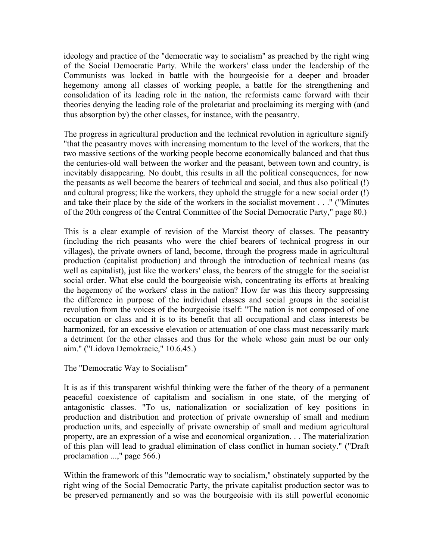ideology and practice of the "democratic way to socialism" as preached by the right wing of the Social Democratic Party. While the workers' class under the leadership of the Communists was locked in battle with the bourgeoisie for a deeper and broader hegemony among all classes of working people, a battle for the strengthening and consolidation of its leading role in the nation, the reformists came forward with their theories denying the leading role of the proletariat and proclaiming its merging with (and thus absorption by) the other classes, for instance, with the peasantry.

The progress in agricultural production and the technical revolution in agriculture signify "that the peasantry moves with increasing momentum to the level of the workers, that the two massive sections of the working people become economically balanced and that thus the centuries-old wall between the worker and the peasant, between town and country, is inevitably disappearing. No doubt, this results in all the political consequences, for now the peasants as well become the bearers of technical and social, and thus also political (!) and cultural progress; like the workers, they uphold the struggle for a new social order (!) and take their place by the side of the workers in the socialist movement . . .'' ("Minutes of the 20th congress of the Central Committee of the Social Democratic Party," page 80.)

This is a clear example of revision of the Marxist theory of classes. The peasantry (including the rich peasants who were the chief bearers of technical progress in our villages), the private owners of land, become, through the progress made in agricultural production (capitalist production) and through the introduction of technical means (as well as capitalist), just like the workers' class, the bearers of the struggle for the socialist social order. What else could the bourgeoisie wish, concentrating its efforts at breaking the hegemony of the workers' class in the nation? How far was this theory suppressing the difference in purpose of the individual classes and social groups in the socialist revolution from the voices of the bourgeoisie itself: "The nation is not composed of one occupation or class and it is to its benefit that all occupational and class interests be harmonized, for an excessive elevation or attenuation of one class must necessarily mark a detriment for the other classes and thus for the whole whose gain must be our only aim." ("Lidova Demokracie," 10.6.45.)

The "Democratic Way to Socialism"

It is as if this transparent wishful thinking were the father of the theory of a permanent peaceful coexistence of capitalism and socialism in one state, of the merging of antagonistic classes. "To us, nationalization or socialization of key positions in production and distribution and protection of private ownership of small and medium production units, and especially of private ownership of small and medium agricultural property, are an expression of a wise and economical organization. . . The materialization of this plan will lead to gradual elimination of class conflict in human society." ("Draft proclamation ...," page 566.)

Within the framework of this "democratic way to socialism," obstinately supported by the right wing of the Social Democratic Party, the private capitalist production sector was to be preserved permanently and so was the bourgeoisie with its still powerful economic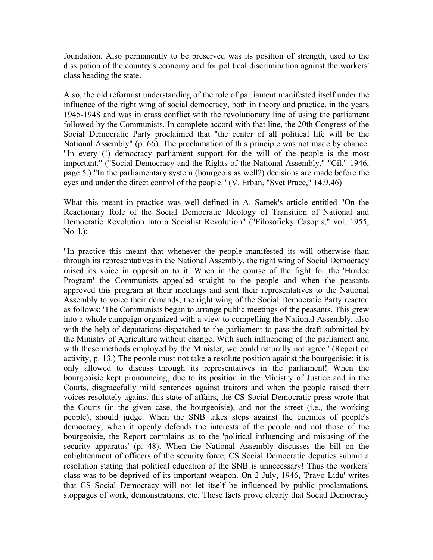foundation. Also permanently to be preserved was its position of strength, used to the dissipation of the country's economy and for political discrimination against the workers' class heading the state.

Also, the old reformist understanding of the role of parliament manifested itself under the influence of the right wing of social democracy, both in theory and practice, in the years 1945-1948 and was in crass conflict with the revolutionary line of using the parliament followed by the Communists. In complete accord with that line, the 20th Congress of the Social Democratic Party proclaimed that "the center of all political life will be the National Assembly" (p. 66). The proclamation of this principle was not made by chance. "In every (!) democracy parliament support for the will of the people is the most important." ("Social Democracy and the Rights of the National Assembly," "Cil," 1946, page 5.) "In the parliamentary system (bourgeois as well?) decisions are made before the eyes and under the direct control of the people." (V. Erban, "Svet Prace," 14.9.46)

What this meant in practice was well defined in A. Samek's article entitled "On the Reactionary Role of the Social Democratic Ideology of Transition of National and Democratic Revolution into a Socialist Revolution" ("Filosoficky Casopis," vol. 1955, No. l.):

"In practice this meant that whenever the people manifested its will otherwise than through its representatives in the National Assembly, the right wing of Social Democracy raised its voice in opposition to it. When in the course of the fight for the 'Hradec Program' the Communists appealed straight to the people and when the peasants approved this program at their meetings and sent their representatives to the National Assembly to voice their demands, the right wing of the Social Democratic Party reacted as follows: 'The Communists began to arrange public meetings of the peasants. This grew into a whole campaign organized with a view to compelling the National Assembly, also with the help of deputations dispatched to the parliament to pass the draft submitted by the Ministry of Agriculture without change. With such influencing of the parliament and with these methods employed by the Minister, we could naturally not agree.' (Report on activity, p. 13.) The people must not take a resolute position against the bourgeoisie; it is only allowed to discuss through its representatives in the parliament! When the bourgeoisie kept pronouncing, due to its position in the Ministry of Justice and in the Courts, disgracefully mild sentences against traitors and when the people raised their voices resolutely against this state of affairs, the CS Social Democratic press wrote that the Courts (in the given case, the bourgeoisie), and not the street (i.e., the working people), should judge. When the SNB takes steps against the enemies of people's democracy, when it openly defends the interests of the people and not those of the bourgeoisie, the Report complains as to the 'political influencing and misusing of the security apparatus' (p. 48). When the National Assembly discusses the bill on the enlightenment of officers of the security force, CS Social Democratic deputies submit a resolution stating that political education of the SNB is unnecessary! Thus the workers' class was to be deprived of its important weapon. On 2 July, 1946, 'Pravo Lidu' writes that CS Social Democracy will not let itself be influenced by public proclamations, stoppages of work, demonstrations, etc. These facts prove clearly that Social Democracy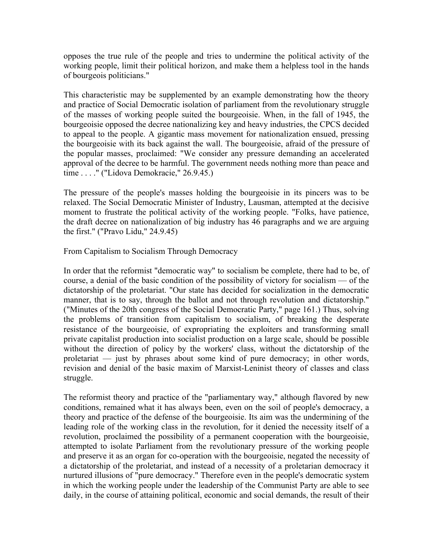opposes the true rule of the people and tries to undermine the political activity of the working people, limit their political horizon, and make them a helpless tool in the hands of bourgeois politicians."

This characteristic may be supplemented by an example demonstrating how the theory and practice of Social Democratic isolation of parliament from the revolutionary struggle of the masses of working people suited the bourgeoisie. When, in the fall of 1945, the bourgeoisie opposed the decree nationalizing key and heavy industries, the CPCS decided to appeal to the people. A gigantic mass movement for nationalization ensued, pressing the bourgeoisie with its back against the wall. The bourgeoisie, afraid of the pressure of the popular masses, proclaimed: "We consider any pressure demanding an accelerated approval of the decree to be harmful. The government needs nothing more than peace and time . . . ." ("Lidova Demokracie," 26.9.45.)

The pressure of the people's masses holding the bourgeoisie in its pincers was to be relaxed. The Social Democratic Minister of Industry, Lausman, attempted at the decisive moment to frustrate the political activity of the working people. "Folks, have patience, the draft decree on nationalization of big industry has 46 paragraphs and we are arguing the first." ("Pravo Lidu," 24.9.45)

From Capitalism to Socialism Through Democracy

In order that the reformist "democratic way" to socialism be complete, there had to be, of course, a denial of the basic condition of the possibility of victory for socialism — of the dictatorship of the proletariat. "Our state has decided for socialization in the democratic manner, that is to say, through the ballot and not through revolution and dictatorship." ("Minutes of the 20th congress of the Social Democratic Party," page 161.) Thus, solving the problems of transition from capitalism to socialism, of breaking the desperate resistance of the bourgeoisie, of expropriating the exploiters and transforming small private capitalist production into socialist production on a large scale, should be possible without the direction of policy by the workers' class, without the dictatorship of the proletariat — just by phrases about some kind of pure democracy; in other words, revision and denial of the basic maxim of Marxist-Leninist theory of classes and class struggle.

The reformist theory and practice of the "parliamentary way," although flavored by new conditions, remained what it has always been, even on the soil of people's democracy, a theory and practice of the defense of the bourgeoisie. Its aim was the undermining of the leading role of the working class in the revolution, for it denied the necessity itself of a revolution, proclaimed the possibility of a permanent cooperation with the bourgeoisie, attempted to isolate Parliament from the revolutionary pressure of the working people and preserve it as an organ for co-operation with the bourgeoisie, negated the necessity of a dictatorship of the proletariat, and instead of a necessity of a proletarian democracy it nurtured illusions of "pure democracy." Therefore even in the people's democratic system in which the working people under the leadership of the Communist Party are able to see daily, in the course of attaining political, economic and social demands, the result of their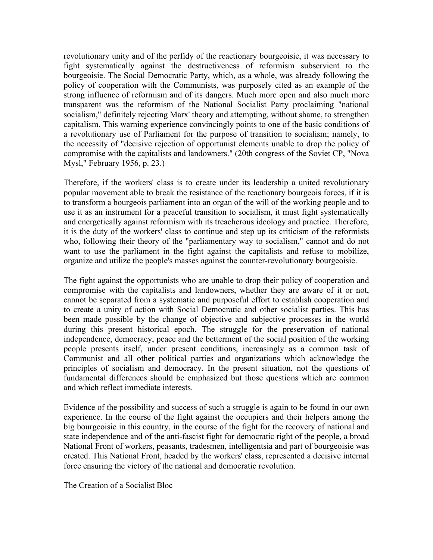revolutionary unity and of the perfidy of the reactionary bourgeoisie, it was necessary to fight systematically against the destructiveness of reformism subservient to the bourgeoisie. The Social Democratic Party, which, as a whole, was already following the policy of cooperation with the Communists, was purposely cited as an example of the strong influence of reformism and of its dangers. Much more open and also much more transparent was the reformism of the National Socialist Party proclaiming "national socialism," definitely rejecting Marx' theory and attempting, without shame, to strengthen capitalism. This warning experience convincingly points to one of the basic conditions of a revolutionary use of Parliament for the purpose of transition to socialism; namely, to the necessity of "decisive rejection of opportunist elements unable to drop the policy of compromise with the capitalists and landowners." (20th congress of the Soviet CP, "Nova Mysl," February 1956, p. 23.)

Therefore, if the workers' class is to create under its leadership a united revolutionary popular movement able to break the resistance of the reactionary bourgeois forces, if it is to transform a bourgeois parliament into an organ of the will of the working people and to use it as an instrument for a peaceful transition to socialism, it must fight systematically and energetically against reformism with its treacherous ideology and practice. Therefore, it is the duty of the workers' class to continue and step up its criticism of the reformists who, following their theory of the "parliamentary way to socialism," cannot and do not want to use the parliament in the fight against the capitalists and refuse to mobilize, organize and utilize the people's masses against the counter-revolutionary bourgeoisie.

The fight against the opportunists who are unable to drop their policy of cooperation and compromise with the capitalists and landowners, whether they are aware of it or not, cannot be separated from a systematic and purposeful effort to establish cooperation and to create a unity of action with Social Democratic and other socialist parties. This has been made possible by the change of objective and subjective processes in the world during this present historical epoch. The struggle for the preservation of national independence, democracy, peace and the betterment of the social position of the working people presents itself, under present conditions, increasingly as a common task of Communist and all other political parties and organizations which acknowledge the principles of socialism and democracy. In the present situation, not the questions of fundamental differences should be emphasized but those questions which are common and which reflect immediate interests.

Evidence of the possibility and success of such a struggle is again to be found in our own experience. In the course of the fight against the occupiers and their helpers among the big bourgeoisie in this country, in the course of the fight for the recovery of national and state independence and of the anti-fascist fight for democratic right of the people, a broad National Front of workers, peasants, tradesmen, intelligentsia and part of bourgeoisie was created. This National Front, headed by the workers' class, represented a decisive internal force ensuring the victory of the national and democratic revolution.

The Creation of a Socialist Bloc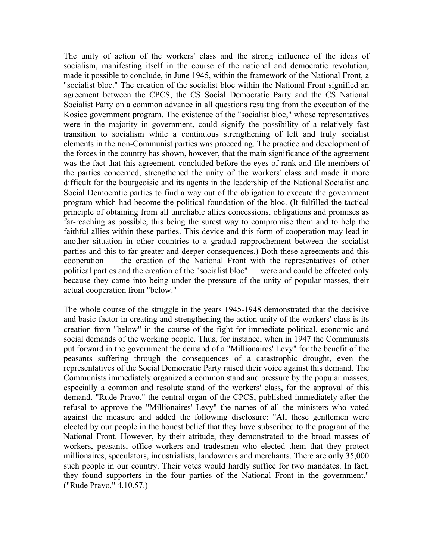The unity of action of the workers' class and the strong influence of the ideas of socialism, manifesting itself in the course of the national and democratic revolution, made it possible to conclude, in June 1945, within the framework of the National Front, a "socialist bloc." The creation of the socialist bloc within the National Front signified an agreement between the CPCS, the CS Social Democratic Party and the CS National Socialist Party on a common advance in all questions resulting from the execution of the Kosice government program. The existence of the "socialist bloc," whose representatives were in the majority in government, could signify the possibility of a relatively fast transition to socialism while a continuous strengthening of left and truly socialist elements in the non-Communist parties was proceeding. The practice and development of the forces in the country has shown, however, that the main significance of the agreement was the fact that this agreement, concluded before the eyes of rank-and-file members of the parties concerned, strengthened the unity of the workers' class and made it more difficult for the bourgeoisie and its agents in the leadership of the National Socialist and Social Democratic parties to find a way out of the obligation to execute the government program which had become the political foundation of the bloc. (It fulfilled the tactical principle of obtaining from all unreliable allies concessions, obligations and promises as far-reaching as possible, this being the surest way to compromise them and to help the faithful allies within these parties. This device and this form of cooperation may lead in another situation in other countries to a gradual rapprochement between the socialist parties and this to far greater and deeper consequences.) Both these agreements and this cooperation — the creation of the National Front with the representatives of other political parties and the creation of the "socialist bloc" — were and could be effected only because they came into being under the pressure of the unity of popular masses, their actual cooperation from "below."

The whole course of the struggle in the years 1945-1948 demonstrated that the decisive and basic factor in creating and strengthening the action unity of the workers' class is its creation from "below" in the course of the fight for immediate political, economic and social demands of the working people. Thus, for instance, when in 1947 the Communists put forward in the government the demand of a "Millionaires' Levy" for the benefit of the peasants suffering through the consequences of a catastrophic drought, even the representatives of the Social Democratic Party raised their voice against this demand. The Communists immediately organized a common stand and pressure by the popular masses, especially a common and resolute stand of the workers' class, for the approval of this demand. "Rude Pravo," the central organ of the CPCS, published immediately after the refusal to approve the "Millionaires' Levy" the names of all the ministers who voted against the measure and added the following disclosure: "All these gentlemen were elected by our people in the honest belief that they have subscribed to the program of the National Front. However, by their attitude, they demonstrated to the broad masses of workers, peasants, office workers and tradesmen who elected them that they protect millionaires, speculators, industrialists, landowners and merchants. There are only 35,000 such people in our country. Their votes would hardly suffice for two mandates. In fact, they found supporters in the four parties of the National Front in the government." ("Rude Pravo," 4.10.57.)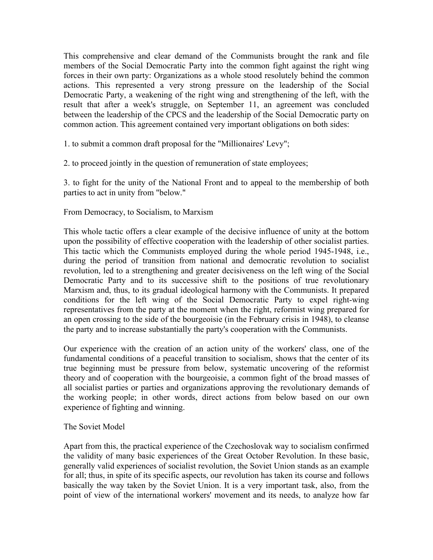This comprehensive and clear demand of the Communists brought the rank and file members of the Social Democratic Party into the common fight against the right wing forces in their own party: Organizations as a whole stood resolutely behind the common actions. This represented a very strong pressure on the leadership of the Social Democratic Party, a weakening of the right wing and strengthening of the left, with the result that after a week's struggle, on September 11, an agreement was concluded between the leadership of the CPCS and the leadership of the Social Democratic party on common action. This agreement contained very important obligations on both sides:

1. to submit a common draft proposal for the "Millionaires' Levy";

2. to proceed jointly in the question of remuneration of state employees;

3. to fight for the unity of the National Front and to appeal to the membership of both parties to act in unity from "below."

### From Democracy, to Socialism, to Marxism

This whole tactic offers a clear example of the decisive influence of unity at the bottom upon the possibility of effective cooperation with the leadership of other socialist parties. This tactic which the Communists employed during the whole period 1945-1948, i.e., during the period of transition from national and democratic revolution to socialist revolution, led to a strengthening and greater decisiveness on the left wing of the Social Democratic Party and to its successive shift to the positions of true revolutionary Marxism and, thus, to its gradual ideological harmony with the Communists. It prepared conditions for the left wing of the Social Democratic Party to expel right-wing representatives from the party at the moment when the right, reformist wing prepared for an open crossing to the side of the bourgeoisie (in the February crisis in 1948), to cleanse the party and to increase substantially the party's cooperation with the Communists.

Our experience with the creation of an action unity of the workers' class, one of the fundamental conditions of a peaceful transition to socialism, shows that the center of its true beginning must be pressure from below, systematic uncovering of the reformist theory and of cooperation with the bourgeoisie, a common fight of the broad masses of all socialist parties or parties and organizations approving the revolutionary demands of the working people; in other words, direct actions from below based on our own experience of fighting and winning.

### The Soviet Model

Apart from this, the practical experience of the Czechoslovak way to socialism confirmed the validity of many basic experiences of the Great October Revolution. In these basic, generally valid experiences of socialist revolution, the Soviet Union stands as an example for all; thus, in spite of its specific aspects, our revolution has taken its course and follows basically the way taken by the Soviet Union. It is a very important task, also, from the point of view of the international workers' movement and its needs, to analyze how far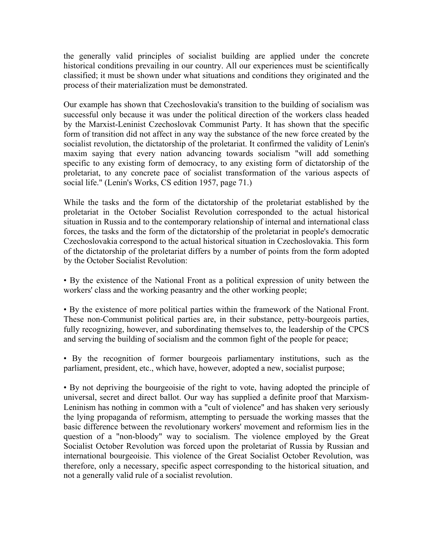the generally valid principles of socialist building are applied under the concrete historical conditions prevailing in our country. All our experiences must be scientifically classified; it must be shown under what situations and conditions they originated and the process of their materialization must be demonstrated.

Our example has shown that Czechoslovakia's transition to the building of socialism was successful only because it was under the political direction of the workers class headed by the Marxist-Leninist Czechoslovak Communist Party. It has shown that the specific form of transition did not affect in any way the substance of the new force created by the socialist revolution, the dictatorship of the proletariat. It confirmed the validity of Lenin's maxim saying that every nation advancing towards socialism "will add something specific to any existing form of democracy, to any existing form of dictatorship of the proletariat, to any concrete pace of socialist transformation of the various aspects of social life." (Lenin's Works, CS edition 1957, page 71.)

While the tasks and the form of the dictatorship of the proletariat established by the proletariat in the October Socialist Revolution corresponded to the actual historical situation in Russia and to the contemporary relationship of internal and international class forces, the tasks and the form of the dictatorship of the proletariat in people's democratic Czechoslovakia correspond to the actual historical situation in Czechoslovakia. This form of the dictatorship of the proletariat differs by a number of points from the form adopted by the October Socialist Revolution:

• By the existence of the National Front as a political expression of unity between the workers' class and the working peasantry and the other working people;

• By the existence of more political parties within the framework of the National Front. These non-Communist political parties are, in their substance, petty-bourgeois parties, fully recognizing, however, and subordinating themselves to, the leadership of the CPCS and serving the building of socialism and the common fight of the people for peace;

• By the recognition of former bourgeois parliamentary institutions, such as the parliament, president, etc., which have, however, adopted a new, socialist purpose;

• By not depriving the bourgeoisie of the right to vote, having adopted the principle of universal, secret and direct ballot. Our way has supplied a definite proof that Marxism-Leninism has nothing in common with a "cult of violence" and has shaken very seriously the lying propaganda of reformism, attempting to persuade the working masses that the basic difference between the revolutionary workers' movement and reformism lies in the question of a "non-bloody" way to socialism. The violence employed by the Great Socialist October Revolution was forced upon the proletariat of Russia by Russian and international bourgeoisie. This violence of the Great Socialist October Revolution, was therefore, only a necessary, specific aspect corresponding to the historical situation, and not a generally valid rule of a socialist revolution.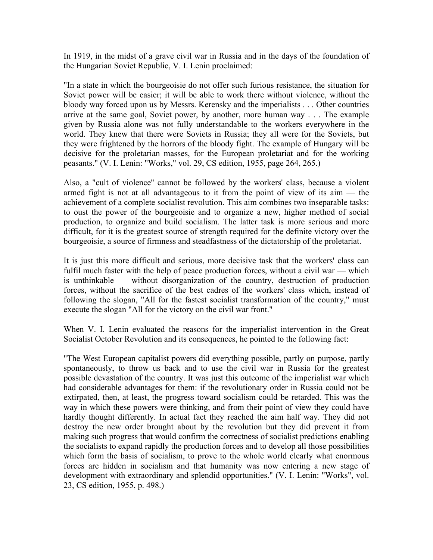In 1919, in the midst of a grave civil war in Russia and in the days of the foundation of the Hungarian Soviet Republic, V. I. Lenin proclaimed:

"In a state in which the bourgeoisie do not offer such furious resistance, the situation for Soviet power will be easier; it will be able to work there without violence, without the bloody way forced upon us by Messrs. Kerensky and the imperialists . . . Other countries arrive at the same goal, Soviet power, by another, more human way . . . The example given by Russia alone was not fully understandable to the workers everywhere in the world. They knew that there were Soviets in Russia; they all were for the Soviets, but they were frightened by the horrors of the bloody fight. The example of Hungary will be decisive for the proletarian masses, for the European proletariat and for the working peasants." (V. I. Lenin: "Works," vol. 29, CS edition, 1955, page 264, 265.)

Also, a "cult of violence'' cannot be followed by the workers' class, because a violent armed fight is not at all advantageous to it from the point of view of its aim — the achievement of a complete socialist revolution. This aim combines two inseparable tasks: to oust the power of the bourgeoisie and to organize a new, higher method of social production, to organize and build socialism. The latter task is more serious and more difficult, for it is the greatest source of strength required for the definite victory over the bourgeoisie, a source of firmness and steadfastness of the dictatorship of the proletariat.

It is just this more difficult and serious, more decisive task that the workers' class can fulfil much faster with the help of peace production forces, without a civil war — which is unthinkable — without disorganization of the country, destruction of production forces, without the sacrifice of the best cadres of the workers' class which, instead of following the slogan, "All for the fastest socialist transformation of the country," must execute the slogan "All for the victory on the civil war front."

When V. I. Lenin evaluated the reasons for the imperialist intervention in the Great Socialist October Revolution and its consequences, he pointed to the following fact:

"The West European capitalist powers did everything possible, partly on purpose, partly spontaneously, to throw us back and to use the civil war in Russia for the greatest possible devastation of the country. It was just this outcome of the imperialist war which had considerable advantages for them: if the revolutionary order in Russia could not be extirpated, then, at least, the progress toward socialism could be retarded. This was the way in which these powers were thinking, and from their point of view they could have hardly thought differently. In actual fact they reached the aim half way. They did not destroy the new order brought about by the revolution but they did prevent it from making such progress that would confirm the correctness of socialist predictions enabling the socialists to expand rapidly the production forces and to develop all those possibilities which form the basis of socialism, to prove to the whole world clearly what enormous forces are hidden in socialism and that humanity was now entering a new stage of development with extraordinary and splendid opportunities." (V. I. Lenin: "Works", vol. 23, CS edition, 1955, p. 498.)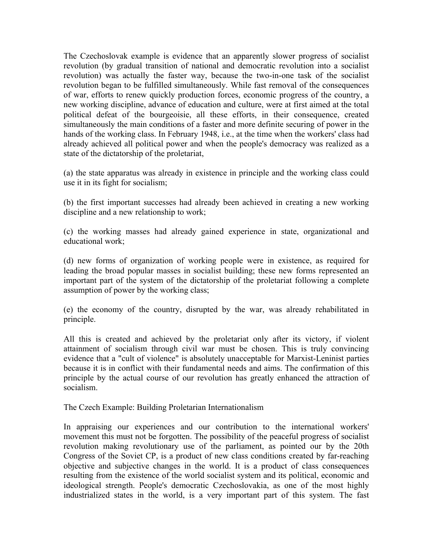The Czechoslovak example is evidence that an apparently slower progress of socialist revolution (by gradual transition of national and democratic revolution into a socialist revolution) was actually the faster way, because the two-in-one task of the socialist revolution began to be fulfilled simultaneously. While fast removal of the consequences of war, efforts to renew quickly production forces, economic progress of the country, a new working discipline, advance of education and culture, were at first aimed at the total political defeat of the bourgeoisie, all these efforts, in their consequence, created simultaneously the main conditions of a faster and more definite securing of power in the hands of the working class. In February 1948, i.e., at the time when the workers' class had already achieved all political power and when the people's democracy was realized as a state of the dictatorship of the proletariat,

(a) the state apparatus was already in existence in principle and the working class could use it in its fight for socialism;

(b) the first important successes had already been achieved in creating a new working discipline and a new relationship to work;

(c) the working masses had already gained experience in state, organizational and educational work;

(d) new forms of organization of working people were in existence, as required for leading the broad popular masses in socialist building; these new forms represented an important part of the system of the dictatorship of the proletariat following a complete assumption of power by the working class;

(e) the economy of the country, disrupted by the war, was already rehabilitated in principle.

All this is created and achieved by the proletariat only after its victory, if violent attainment of socialism through civil war must be chosen. This is truly convincing evidence that a "cult of violence" is absolutely unacceptable for Marxist-Leninist parties because it is in conflict with their fundamental needs and aims. The confirmation of this principle by the actual course of our revolution has greatly enhanced the attraction of socialism.

The Czech Example: Building Proletarian Internationalism

In appraising our experiences and our contribution to the international workers' movement this must not be forgotten. The possibility of the peaceful progress of socialist revolution making revolutionary use of the parliament, as pointed our by the 20th Congress of the Soviet CP, is a product of new class conditions created by far-reaching objective and subjective changes in the world. It is a product of class consequences resulting from the existence of the world socialist system and its political, economic and ideological strength. People's democratic Czechoslovakia, as one of the most highly industrialized states in the world, is a very important part of this system. The fast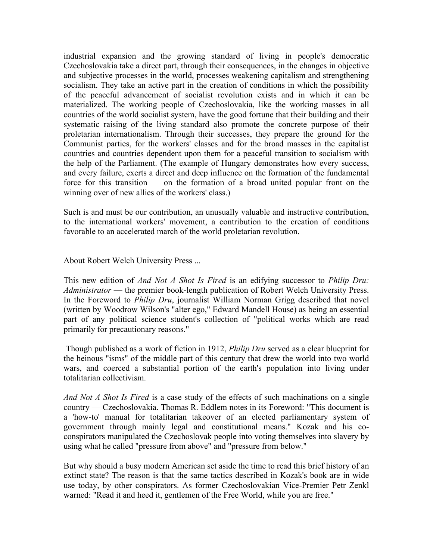industrial expansion and the growing standard of living in people's democratic Czechoslovakia take a direct part, through their consequences, in the changes in objective and subjective processes in the world, processes weakening capitalism and strengthening socialism. They take an active part in the creation of conditions in which the possibility of the peaceful advancement of socialist revolution exists and in which it can be materialized. The working people of Czechoslovakia, like the working masses in all countries of the world socialist system, have the good fortune that their building and their systematic raising of the living standard also promote the concrete purpose of their proletarian internationalism. Through their successes, they prepare the ground for the Communist parties, for the workers' classes and for the broad masses in the capitalist countries and countries dependent upon them for a peaceful transition to socialism with the help of the Parliament. (The example of Hungary demonstrates how every success, and every failure, exerts a direct and deep influence on the formation of the fundamental force for this transition — on the formation of a broad united popular front on the winning over of new allies of the workers' class.)

Such is and must be our contribution, an unusually valuable and instructive contribution, to the international workers' movement, a contribution to the creation of conditions favorable to an accelerated march of the world proletarian revolution.

### About Robert Welch University Press ...

This new edition of *And Not A Shot Is Fired* is an edifying successor to *Philip Dru: Administrator* — the premier book-length publication of Robert Welch University Press. In the Foreword to *Philip Dru*, journalist William Norman Grigg described that novel (written by Woodrow Wilson's "alter ego," Edward Mandell House) as being an essential part of any political science student's collection of "political works which are read primarily for precautionary reasons."

 Though published as a work of fiction in 1912, *Philip Dru* served as a clear blueprint for the heinous "isms" of the middle part of this century that drew the world into two world wars, and coerced a substantial portion of the earth's population into living under totalitarian collectivism.

*And Not A Shot Is Fired* is a case study of the effects of such machinations on a single country — Czechoslovakia. Thomas R. Eddlem notes in its Foreword: "This document is a 'how-to' manual for totalitarian takeover of an elected parliamentary system of government through mainly legal and constitutional means." Kozak and his coconspirators manipulated the Czechoslovak people into voting themselves into slavery by using what he called "pressure from above" and "pressure from below."

But why should a busy modern American set aside the time to read this brief history of an extinct state? The reason is that the same tactics described in Kozak's book are in wide use today, by other conspirators. As former Czechoslovakian Vice-Premier Petr Zenkl warned: "Read it and heed it, gentlemen of the Free World, while you are free."